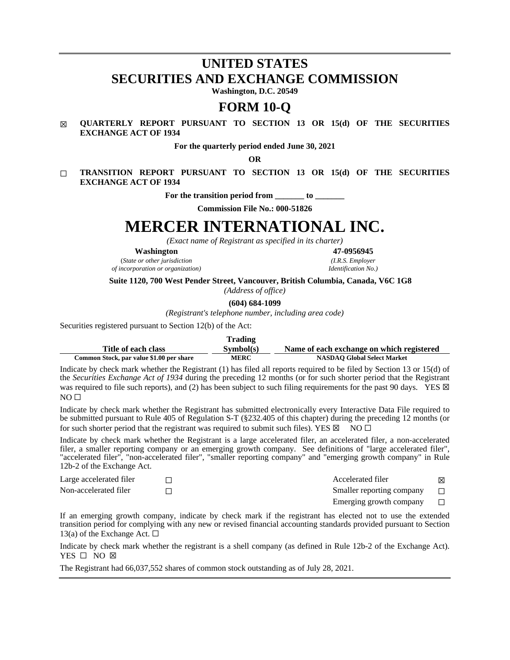# **UNITED STATES SECURITIES AND EXCHANGE COMMISSION**

**Washington, D.C. 20549**

## **FORM 10-Q**

## ☒ **QUARTERLY REPORT PURSUANT TO SECTION 13 OR 15(d) OF THE SECURITIES EXCHANGE ACT OF 1934**

**For the quarterly period ended June 30, 2021**

**OR**

☐ **TRANSITION REPORT PURSUANT TO SECTION 13 OR 15(d) OF THE SECURITIES EXCHANGE ACT OF 1934**

For the transition period from to

**Commission File No.: 000-51826**

# **MERCER INTERNATIONAL INC.**

*(Exact name of Registrant as specified in its charter)*

**Washington 47-0956945**

(*State or other jurisdiction (I.R.S. Employer*  $of incorporation$  *or organization*)

**Suite 1120, 700 West Pender Street, Vancouver, British Columbia, Canada, V6C 1G8**

*(Address of office)*

**(604) 684-1099**

*(Registrant's telephone number, including area code)*

Securities registered pursuant to Section 12(b) of the Act:

|                                          | <b>Trading</b> |                                           |
|------------------------------------------|----------------|-------------------------------------------|
| Title of each class                      | Sumbol(s)      | Name of each exchange on which registered |
| Common Stock, par value \$1.00 per share | <b>MERC</b>    | <b>NASDAO Global Select Market</b>        |

Indicate by check mark whether the Registrant (1) has filed all reports required to be filed by Section 13 or 15(d) of the *Securities Exchange Act of 1934* during the preceding 12 months (or for such shorter period that the Registrant was required to file such reports), and (2) has been subject to such filing requirements for the past 90 days. YES  $\boxtimes$  $NO<sub>II</sub>$ 

Indicate by check mark whether the Registrant has submitted electronically every Interactive Data File required to be submitted pursuant to Rule 405 of Regulation S-T (§232.405 of this chapter) during the preceding 12 months (or for such shorter period that the registrant was required to submit such files). YES  $\boxtimes$  NO  $\Box$ 

Indicate by check mark whether the Registrant is a large accelerated filer, an accelerated filer, a non-accelerated filer, a smaller reporting company or an emerging growth company. See definitions of "large accelerated filer", "accelerated filer", "non-accelerated filer", "smaller reporting company" and "emerging growth company" in Rule 12b-2 of the Exchange Act.

| Large accelerated filer | Accelerated filer                 | ⊠      |
|-------------------------|-----------------------------------|--------|
| Non-accelerated filer   | Smaller reporting company         | $\Box$ |
|                         | Emerging growth company $\square$ |        |

If an emerging growth company, indicate by check mark if the registrant has elected not to use the extended transition period for complying with any new or revised financial accounting standards provided pursuant to Section 13(a) of the Exchange Act.  $\Box$ 

Indicate by check mark whether the registrant is a shell company (as defined in Rule 12b-2 of the Exchange Act). YES □ NO ⊠

The Registrant had 66,037,552 shares of common stock outstanding as of July 28, 2021.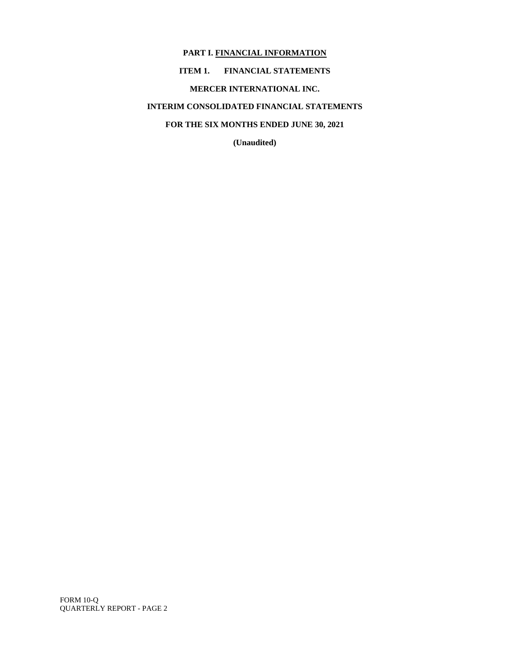## **PART I. FINANCIAL INFORMATION**

## **ITEM 1. FINANCIAL STATEMENTS**

## **MERCER INTERNATIONAL INC.**

## **INTERIM CONSOLIDATED FINANCIAL STATEMENTS**

## **FOR THE SIX MONTHS ENDED JUNE 30, 2021**

**(Unaudited)**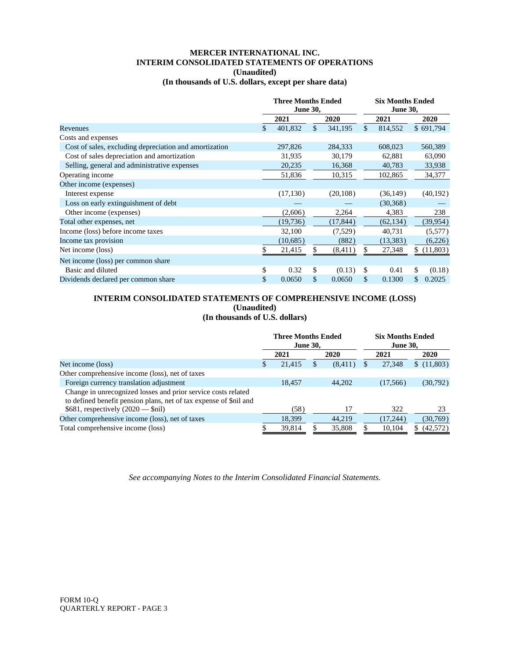## **MERCER INTERNATIONAL INC. INTERIM CONSOLIDATED STATEMENTS OF OPERATIONS (Unaudited)**

## **(In thousands of U.S. dollars, except per share data)**

|                                                        | <b>Three Months Ended</b><br><b>June 30,</b> |           |               |           | <b>Six Months Ended</b><br><b>June 30,</b> |           |                |  |
|--------------------------------------------------------|----------------------------------------------|-----------|---------------|-----------|--------------------------------------------|-----------|----------------|--|
|                                                        |                                              | 2021      |               | 2020      |                                            | 2021      | 2020           |  |
| Revenues                                               | \$                                           | 401,832   | $\mathcal{S}$ | 341,195   | \$.                                        | 814,552   | \$691,794      |  |
| Costs and expenses                                     |                                              |           |               |           |                                            |           |                |  |
| Cost of sales, excluding depreciation and amortization |                                              | 297,826   |               | 284,333   |                                            | 608,023   | 560,389        |  |
| Cost of sales depreciation and amortization            |                                              | 31,935    |               | 30,179    |                                            | 62,881    | 63,090         |  |
| Selling, general and administrative expenses           |                                              | 20,235    |               | 16,368    |                                            | 40,783    | 33,938         |  |
| Operating income                                       |                                              | 51,836    |               | 10,315    |                                            | 102,865   | 34,377         |  |
| Other income (expenses)                                |                                              |           |               |           |                                            |           |                |  |
| Interest expense                                       |                                              | (17, 130) |               | (20, 108) |                                            | (36, 149) | (40, 192)      |  |
| Loss on early extinguishment of debt                   |                                              |           |               |           |                                            | (30, 368) |                |  |
| Other income (expenses)                                |                                              | (2,606)   |               | 2,264     |                                            | 4,383     | 238            |  |
| Total other expenses, net                              |                                              | (19,736)  |               | (17, 844) |                                            | (62, 134) | (39, 954)      |  |
| Income (loss) before income taxes                      |                                              | 32,100    |               | (7,529)   |                                            | 40,731    | (5,577)        |  |
| Income tax provision                                   |                                              | (10,685)  |               | (882)     |                                            | (13, 383) | (6,226)        |  |
| Net income (loss)                                      |                                              | 21,415    |               | (8, 411)  | \$                                         | 27,348    | (11,803)<br>\$ |  |
| Net income (loss) per common share                     |                                              |           |               |           |                                            |           |                |  |
| Basic and diluted                                      | \$                                           | 0.32      | \$            | (0.13)    | \$                                         | 0.41      | \$<br>(0.18)   |  |
| Dividends declared per common share                    | \$                                           | 0.0650    | \$            | 0.0650    | \$                                         | 0.1300    | 0.2025<br>\$   |  |

## **INTERIM CONSOLIDATED STATEMENTS OF COMPREHENSIVE INCOME (LOSS) (Unaudited) (In thousands of U.S. dollars)**

|                                                                   | <b>Three Months Ended</b><br><b>June 30,</b> |        |  |         | <b>Six Months Ended</b><br><b>June 30,</b> |           |  |            |
|-------------------------------------------------------------------|----------------------------------------------|--------|--|---------|--------------------------------------------|-----------|--|------------|
|                                                                   |                                              | 2021   |  | 2020    |                                            | 2021      |  | 2020       |
| Net income (loss)                                                 |                                              | 21.415 |  | (8,411) |                                            | 27,348    |  | \$(11,803) |
| Other comprehensive income (loss), net of taxes                   |                                              |        |  |         |                                            |           |  |            |
| Foreign currency translation adjustment                           |                                              | 18.457 |  | 44,202  |                                            | (17, 566) |  | (30, 792)  |
| Change in unrecognized losses and prior service costs related     |                                              |        |  |         |                                            |           |  |            |
| to defined benefit pension plans, net of tax expense of \$nil and |                                              |        |  |         |                                            |           |  |            |
| $$681$ , respectively $(2020 - $nil)$                             |                                              | (58)   |  | 17      |                                            | 322       |  | 23         |
| Other comprehensive income (loss), net of taxes                   |                                              | 18,399 |  | 44,219  |                                            | (17, 244) |  | (30, 769)  |
| Total comprehensive income (loss)                                 |                                              | 39,814 |  | 35,808  |                                            | 10,104    |  | (42,572)   |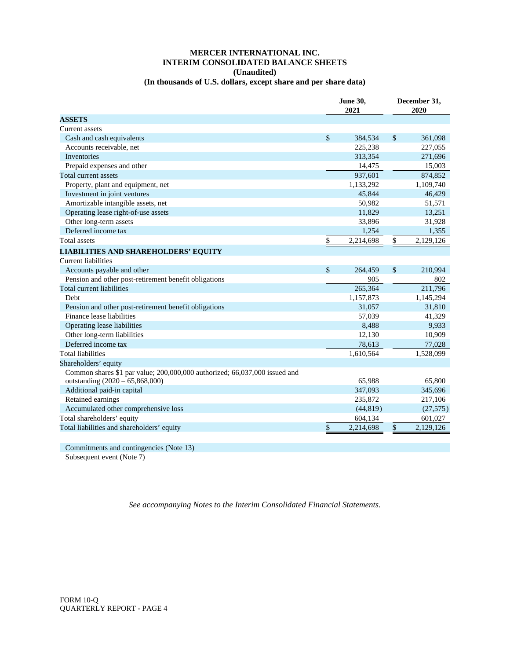## **MERCER INTERNATIONAL INC. INTERIM CONSOLIDATED BALANCE SHEETS (Unaudited)**

## **(In thousands of U.S. dollars, except share and per share data)**

|                                                                            | <b>June 30,</b><br>2021 |    |           |
|----------------------------------------------------------------------------|-------------------------|----|-----------|
| <b>ASSETS</b>                                                              |                         |    |           |
| Current assets                                                             |                         |    |           |
| $\mathbb{S}$<br>Cash and cash equivalents                                  | 384,534                 | \$ | 361,098   |
| Accounts receivable, net                                                   | 225,238                 |    | 227,055   |
| Inventories                                                                | 313,354                 |    | 271,696   |
| Prepaid expenses and other                                                 | 14,475                  |    | 15,003    |
| Total current assets                                                       | 937,601                 |    | 874,852   |
| Property, plant and equipment, net                                         | 1,133,292               |    | 1,109,740 |
| Investment in joint ventures                                               | 45,844                  |    | 46,429    |
| Amortizable intangible assets, net                                         | 50,982                  |    | 51,571    |
| Operating lease right-of-use assets                                        | 11,829                  |    | 13,251    |
| Other long-term assets                                                     | 33,896                  |    | 31,928    |
| Deferred income tax                                                        | 1,254                   |    | 1,355     |
| <b>Total</b> assets<br>\$                                                  | 2,214,698               | \$ | 2,129,126 |
| <b>LIABILITIES AND SHAREHOLDERS' EQUITY</b>                                |                         |    |           |
| Current liabilities                                                        |                         |    |           |
| \$<br>Accounts payable and other                                           | 264,459                 | \$ | 210,994   |
| Pension and other post-retirement benefit obligations                      | 905                     |    | 802       |
| Total current liabilities                                                  | 265,364                 |    | 211,796   |
| Debt                                                                       | 1,157,873               |    | 1,145,294 |
| Pension and other post-retirement benefit obligations                      | 31,057                  |    | 31,810    |
| Finance lease liabilities                                                  | 57,039                  |    | 41,329    |
| Operating lease liabilities                                                | 8,488                   |    | 9,933     |
| Other long-term liabilities                                                | 12,130                  |    | 10,909    |
| Deferred income tax                                                        | 78,613                  |    | 77,028    |
| <b>Total liabilities</b>                                                   | 1,610,564               |    | 1,528,099 |
| Shareholders' equity                                                       |                         |    |           |
| Common shares \$1 par value; 200,000,000 authorized; 66,037,000 issued and |                         |    |           |
| outstanding (2020 - 65,868,000)                                            | 65,988                  |    | 65,800    |
| Additional paid-in capital                                                 | 347,093                 |    | 345,696   |
| Retained earnings                                                          | 235,872                 |    | 217,106   |
| Accumulated other comprehensive loss                                       | (44, 819)               |    | (27, 575) |
| Total shareholders' equity                                                 | 604,134                 |    | 601,027   |
| Total liabilities and shareholders' equity<br>\$                           | 2,214,698               | \$ | 2,129,126 |

Commitments and contingencies (Note 13)

Subsequent event (Note 7)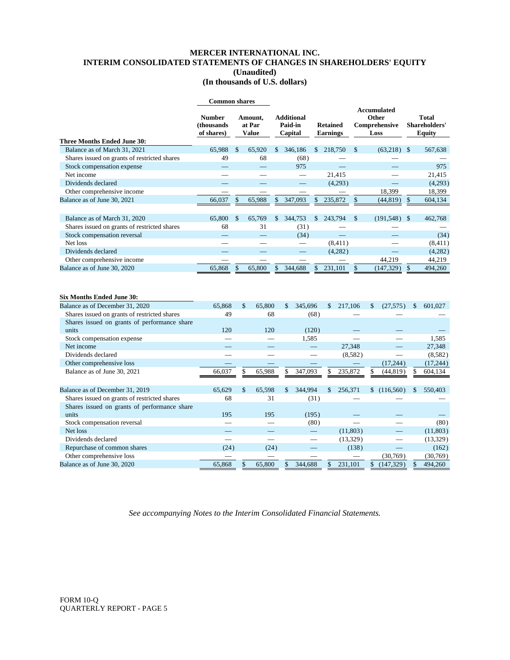## **MERCER INTERNATIONAL INC. INTERIM CONSOLIDATED STATEMENTS OF CHANGES IN SHAREHOLDERS' EQUITY (Unaudited) (In thousands of U.S. dollars)**

| <b>Common shares</b> |                           |  |
|----------------------|---------------------------|--|
|                      | Number America Additional |  |

**Accumulated**

| <b>Three Months Ended June 30:</b><br>65,988<br>Balance as of March 31, 2021<br>$\mathcal{S}$<br>65,920<br>346,186<br>218,750<br>$(63,218)$ \$<br>567,638<br>\$.<br>\$.<br><sup>\$</sup><br>49<br>68<br>(68)<br>Shares issued on grants of restricted shares<br>Stock compensation expense<br>975<br>975<br>21,415<br>Net income<br>21,415<br>Dividends declared<br>(4,293)<br>(4,293)<br>18,399<br>Other comprehensive income<br>18,399<br>66,037<br>65,988<br>347,093<br>235,872<br>Balance as of June 30, 2021<br>(44, 819)<br>604,134<br>\$<br>S.<br>65,800<br>Balance as of March 31, 2020<br>65,769<br>243,794<br>$(191,548)$ \$<br>462,768<br>$\mathbb{S}$<br>344.753<br><sup>\$</sup><br>\$<br>\$.<br>68<br>31<br>(31)<br>Shares issued on grants of restricted shares<br>Stock compensation reversal<br>(34)<br>(34)<br>Net loss<br>(8, 411)<br>(8, 411)<br>Dividends declared<br>(4,282)<br>(4,282)<br>44,219<br>44,219<br>Other comprehensive income<br>65,800<br>344,688<br>231,101<br>Balance as of June 30, 2020<br>65,868<br>(147, 329)<br>494,260 | <b>Number</b><br>(thousands<br>of shares) | Amount,<br>at Par<br>Value | <b>Additional</b><br>Paid-in<br>Capital |  | <b>Retained</b><br><b>Earnings</b> |  | <b>Other</b><br>Comprehensive<br>Loss |  | Total<br>Shareholders'<br>Equity |  |
|-------------------------------------------------------------------------------------------------------------------------------------------------------------------------------------------------------------------------------------------------------------------------------------------------------------------------------------------------------------------------------------------------------------------------------------------------------------------------------------------------------------------------------------------------------------------------------------------------------------------------------------------------------------------------------------------------------------------------------------------------------------------------------------------------------------------------------------------------------------------------------------------------------------------------------------------------------------------------------------------------------------------------------------------------------------------|-------------------------------------------|----------------------------|-----------------------------------------|--|------------------------------------|--|---------------------------------------|--|----------------------------------|--|
|                                                                                                                                                                                                                                                                                                                                                                                                                                                                                                                                                                                                                                                                                                                                                                                                                                                                                                                                                                                                                                                                   |                                           |                            |                                         |  |                                    |  |                                       |  |                                  |  |
|                                                                                                                                                                                                                                                                                                                                                                                                                                                                                                                                                                                                                                                                                                                                                                                                                                                                                                                                                                                                                                                                   |                                           |                            |                                         |  |                                    |  |                                       |  |                                  |  |
|                                                                                                                                                                                                                                                                                                                                                                                                                                                                                                                                                                                                                                                                                                                                                                                                                                                                                                                                                                                                                                                                   |                                           |                            |                                         |  |                                    |  |                                       |  |                                  |  |
|                                                                                                                                                                                                                                                                                                                                                                                                                                                                                                                                                                                                                                                                                                                                                                                                                                                                                                                                                                                                                                                                   |                                           |                            |                                         |  |                                    |  |                                       |  |                                  |  |
|                                                                                                                                                                                                                                                                                                                                                                                                                                                                                                                                                                                                                                                                                                                                                                                                                                                                                                                                                                                                                                                                   |                                           |                            |                                         |  |                                    |  |                                       |  |                                  |  |
|                                                                                                                                                                                                                                                                                                                                                                                                                                                                                                                                                                                                                                                                                                                                                                                                                                                                                                                                                                                                                                                                   |                                           |                            |                                         |  |                                    |  |                                       |  |                                  |  |
|                                                                                                                                                                                                                                                                                                                                                                                                                                                                                                                                                                                                                                                                                                                                                                                                                                                                                                                                                                                                                                                                   |                                           |                            |                                         |  |                                    |  |                                       |  |                                  |  |
|                                                                                                                                                                                                                                                                                                                                                                                                                                                                                                                                                                                                                                                                                                                                                                                                                                                                                                                                                                                                                                                                   |                                           |                            |                                         |  |                                    |  |                                       |  |                                  |  |
|                                                                                                                                                                                                                                                                                                                                                                                                                                                                                                                                                                                                                                                                                                                                                                                                                                                                                                                                                                                                                                                                   |                                           |                            |                                         |  |                                    |  |                                       |  |                                  |  |
|                                                                                                                                                                                                                                                                                                                                                                                                                                                                                                                                                                                                                                                                                                                                                                                                                                                                                                                                                                                                                                                                   |                                           |                            |                                         |  |                                    |  |                                       |  |                                  |  |
|                                                                                                                                                                                                                                                                                                                                                                                                                                                                                                                                                                                                                                                                                                                                                                                                                                                                                                                                                                                                                                                                   |                                           |                            |                                         |  |                                    |  |                                       |  |                                  |  |
|                                                                                                                                                                                                                                                                                                                                                                                                                                                                                                                                                                                                                                                                                                                                                                                                                                                                                                                                                                                                                                                                   |                                           |                            |                                         |  |                                    |  |                                       |  |                                  |  |
|                                                                                                                                                                                                                                                                                                                                                                                                                                                                                                                                                                                                                                                                                                                                                                                                                                                                                                                                                                                                                                                                   |                                           |                            |                                         |  |                                    |  |                                       |  |                                  |  |
|                                                                                                                                                                                                                                                                                                                                                                                                                                                                                                                                                                                                                                                                                                                                                                                                                                                                                                                                                                                                                                                                   |                                           |                            |                                         |  |                                    |  |                                       |  |                                  |  |
|                                                                                                                                                                                                                                                                                                                                                                                                                                                                                                                                                                                                                                                                                                                                                                                                                                                                                                                                                                                                                                                                   |                                           |                            |                                         |  |                                    |  |                                       |  |                                  |  |
|                                                                                                                                                                                                                                                                                                                                                                                                                                                                                                                                                                                                                                                                                                                                                                                                                                                                                                                                                                                                                                                                   |                                           |                            |                                         |  |                                    |  |                                       |  |                                  |  |

| <b>Six Months Ended June 30:</b>             |        |                    |        |               |    |          |     |            |     |           |
|----------------------------------------------|--------|--------------------|--------|---------------|----|----------|-----|------------|-----|-----------|
| Balance as of December 31, 2020              | 65,868 | $\mathbf{\hat{S}}$ | 65,800 | \$<br>345,696 | \$ | 217,106  | \$. | (27, 575)  | \$. | 601,027   |
| Shares issued on grants of restricted shares | 49     |                    | 68     | (68)          |    |          |     |            |     |           |
| Shares issued on grants of performance share |        |                    |        |               |    |          |     |            |     |           |
| units                                        | 120    |                    | 120    | (120)         |    |          |     |            |     |           |
| Stock compensation expense                   |        |                    |        | 1,585         |    |          |     |            |     | 1,585     |
| Net income                                   |        |                    |        |               |    | 27,348   |     |            |     | 27,348    |
| Dividends declared                           |        |                    |        |               |    | (8,582)  |     |            |     | (8,582)   |
| Other comprehensive loss                     |        |                    |        |               |    |          |     | (17, 244)  |     | (17, 244) |
| Balance as of June 30, 2021                  | 66,037 |                    | 65,988 | 347,093       |    | 235,872  |     | (44, 819)  |     | 604,134   |
|                                              |        |                    |        |               |    |          |     |            |     |           |
| Balance as of December 31, 2019              | 65,629 | \$                 | 65,598 | 344,994       | S. | 256,371  | \$  | (116,560)  |     | 550,403   |
| Shares issued on grants of restricted shares | 68     |                    | 31     | (31)          |    |          |     |            |     |           |
| Shares issued on grants of performance share |        |                    |        |               |    |          |     |            |     |           |
| units                                        | 195    |                    | 195    | (195)         |    |          |     |            |     |           |
| Stock compensation reversal                  |        |                    |        | (80)          |    |          |     |            |     | (80)      |
| Net loss                                     |        |                    |        |               |    | (11,803) |     |            |     | (11,803)  |
| Dividends declared                           |        |                    |        |               |    | (13,329) |     |            |     | (13,329)  |
| Repurchase of common shares                  | (24)   |                    | (24)   |               |    | (138)    |     |            |     | (162)     |
| Other comprehensive loss                     |        |                    |        |               |    |          |     | (30,769)   |     | (30,769)  |
| Balance as of June 30, 2020                  | 65,868 |                    | 65,800 | 344,688       |    | 231,101  |     | (147, 329) |     | 494,260   |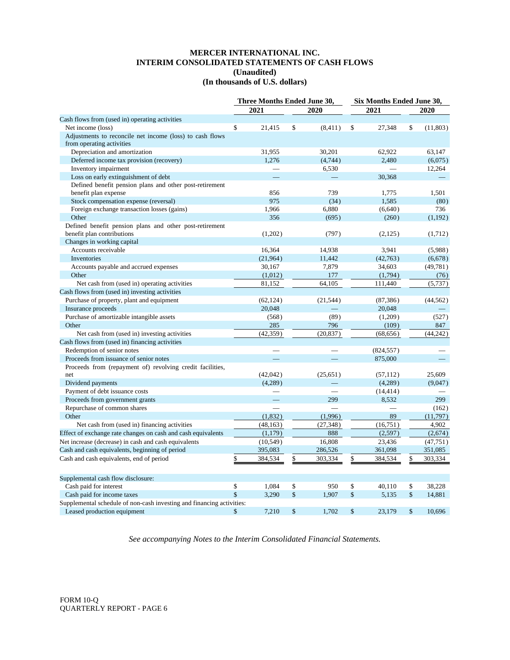## **MERCER INTERNATIONAL INC. INTERIM CONSOLIDATED STATEMENTS OF CASH FLOWS (Unaudited) (In thousands of U.S. dollars)**

|                                                                       | Three Months Ended June 30, |           |    | Six Months Ended June 30, |    |            |    |           |
|-----------------------------------------------------------------------|-----------------------------|-----------|----|---------------------------|----|------------|----|-----------|
|                                                                       |                             | 2021      |    | 2020                      |    | 2021       |    | 2020      |
| Cash flows from (used in) operating activities                        |                             |           |    |                           |    |            |    |           |
| Net income (loss)                                                     | \$                          | 21,415    | \$ | (8, 411)                  | \$ | 27,348     | \$ | (11, 803) |
| Adjustments to reconcile net income (loss) to cash flows              |                             |           |    |                           |    |            |    |           |
| from operating activities                                             |                             |           |    |                           |    |            |    |           |
| Depreciation and amortization                                         |                             | 31,955    |    | 30,201                    |    | 62,922     |    | 63,147    |
| Deferred income tax provision (recovery)                              |                             | 1,276     |    | (4,744)                   |    | 2,480      |    | (6,075)   |
| Inventory impairment                                                  |                             |           |    | 6,530                     |    |            |    | 12,264    |
| Loss on early extinguishment of debt                                  |                             |           |    |                           |    | 30,368     |    |           |
| Defined benefit pension plans and other post-retirement               |                             |           |    |                           |    |            |    |           |
| benefit plan expense                                                  |                             | 856       |    | 739                       |    | 1,775      |    | 1,501     |
| Stock compensation expense (reversal)                                 |                             | 975       |    | (34)                      |    | 1,585      |    | (80)      |
| Foreign exchange transaction losses (gains)                           |                             | 1,966     |    | 6,880                     |    | (6,640)    |    | 736       |
| Other                                                                 |                             | 356       |    | (695)                     |    | (260)      |    | (1,192)   |
| Defined benefit pension plans and other post-retirement               |                             |           |    |                           |    |            |    |           |
| benefit plan contributions                                            |                             | (1,202)   |    | (797)                     |    | (2,125)    |    | (1,712)   |
| Changes in working capital                                            |                             |           |    |                           |    |            |    |           |
| Accounts receivable                                                   |                             | 16,364    |    | 14,938                    |    | 3,941      |    | (5,988)   |
| Inventories                                                           |                             | (21, 964) |    | 11,442                    |    | (42, 763)  |    | (6,678)   |
| Accounts payable and accrued expenses                                 |                             | 30,167    |    | 7,879                     |    | 34,603     |    | (49, 781) |
| Other                                                                 |                             | (1,012)   |    | 177                       |    | (1,794)    |    | (76)      |
| Net cash from (used in) operating activities                          |                             | 81,152    |    | 64,105                    |    | 111,440    |    | (5,737)   |
| Cash flows from (used in) investing activities                        |                             |           |    |                           |    |            |    |           |
| Purchase of property, plant and equipment                             |                             | (62, 124) |    | (21, 544)                 |    | (87, 386)  |    | (44, 562) |
| Insurance proceeds                                                    |                             | 20,048    |    |                           |    | 20,048     |    |           |
| Purchase of amortizable intangible assets                             |                             | (568)     |    | (89)                      |    | (1,209)    |    | (527)     |
| Other                                                                 |                             | 285       |    | 796                       |    | (109)      |    | 847       |
| Net cash from (used in) investing activities                          |                             | (42, 359) |    | (20, 837)                 |    | (68, 656)  |    | (44,242)  |
| Cash flows from (used in) financing activities                        |                             |           |    |                           |    |            |    |           |
| Redemption of senior notes                                            |                             |           |    |                           |    | (824, 557) |    |           |
| Proceeds from issuance of senior notes                                |                             |           |    |                           |    | 875,000    |    | $\equiv$  |
| Proceeds from (repayment of) revolving credit facilities,             |                             |           |    |                           |    |            |    |           |
| net                                                                   |                             | (42,042)  |    | (25, 651)                 |    | (57, 112)  |    | 25,609    |
| Dividend payments                                                     |                             | (4,289)   |    |                           |    | (4,289)    |    | (9,047)   |
| Payment of debt issuance costs                                        |                             |           |    |                           |    | (14, 414)  |    |           |
| Proceeds from government grants                                       |                             |           |    | 299                       |    | 8,532      |    | 299       |
| Repurchase of common shares                                           |                             |           |    |                           |    |            |    | (162)     |
| Other                                                                 |                             | (1,832)   |    | (1,996)                   |    | 89         |    | (11,797)  |
| Net cash from (used in) financing activities                          |                             | (48, 163) |    | (27, 348)                 |    | (16, 751)  |    | 4,902     |
| Effect of exchange rate changes on cash and cash equivalents          |                             | (1,179)   |    | 888                       |    | (2,597)    |    | (2,674)   |
| Net increase (decrease) in cash and cash equivalents                  |                             | (10, 549) |    | 16.808                    |    | 23.436     |    | (47, 751) |
| Cash and cash equivalents, beginning of period                        |                             | 395,083   |    | 286,526                   |    | 361,098    |    | 351,085   |
| Cash and cash equivalents, end of period                              | \$                          | 384,534   | \$ | 303,334                   | \$ | 384,534    | \$ | 303,334   |
| Supplemental cash flow disclosure:                                    |                             |           |    |                           |    |            |    |           |
| Cash paid for interest                                                | \$                          | 1,084     | \$ | 950                       | \$ | 40,110     | \$ | 38,228    |
| Cash paid for income taxes                                            | $\mathbf{\hat{s}}$          | 3,290     | \$ | 1,907                     | \$ | 5,135      | \$ | 14,881    |
| Supplemental schedule of non-cash investing and financing activities: |                             |           |    |                           |    |            |    |           |
| Leased production equipment                                           | \$                          | 7.210     | \$ | 1.702                     | \$ | 23.179     | \$ | 10.696    |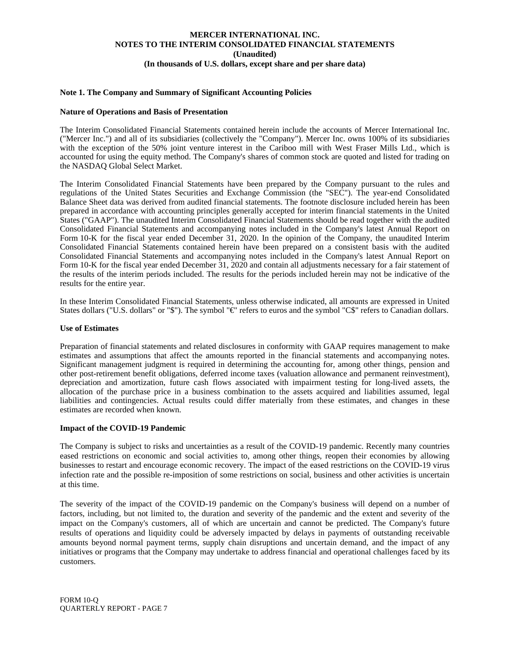## **Note 1. The Company and Summary of Significant Accounting Policies**

#### **Nature of Operations and Basis of Presentation**

The Interim Consolidated Financial Statements contained herein include the accounts of Mercer International Inc. ("Mercer Inc.") and all of its subsidiaries (collectively the "Company"). Mercer Inc. owns 100% of its subsidiaries with the exception of the 50% joint venture interest in the Cariboo mill with West Fraser Mills Ltd., which is accounted for using the equity method. The Company's shares of common stock are quoted and listed for trading on the NASDAQ Global Select Market.

The Interim Consolidated Financial Statements have been prepared by the Company pursuant to the rules and regulations of the United States Securities and Exchange Commission (the "SEC"). The year-end Consolidated Balance Sheet data was derived from audited financial statements. The footnote disclosure included herein has been prepared in accordance with accounting principles generally accepted for interim financial statements in the United States ("GAAP"). The unaudited Interim Consolidated Financial Statements should be read together with the audited Consolidated Financial Statements and accompanying notes included in the Company's latest Annual Report on Form 10-K for the fiscal year ended December 31, 2020. In the opinion of the Company, the unaudited Interim Consolidated Financial Statements contained herein have been prepared on a consistent basis with the audited Consolidated Financial Statements and accompanying notes included in the Company's latest Annual Report on Form 10-K for the fiscal year ended December 31, 2020 and contain all adjustments necessary for a fair statement of the results of the interim periods included. The results for the periods included herein may not be indicative of the results for the entire year.

In these Interim Consolidated Financial Statements, unless otherwise indicated, all amounts are expressed in United States dollars ("U.S. dollars" or "\$"). The symbol "€" refers to euros and the symbol "C\$" refers to Canadian dollars.

#### **Use of Estimates**

Preparation of financial statements and related disclosures in conformity with GAAP requires management to make estimates and assumptions that affect the amounts reported in the financial statements and accompanying notes. Significant management judgment is required in determining the accounting for, among other things, pension and other post-retirement benefit obligations, deferred income taxes (valuation allowance and permanent reinvestment), depreciation and amortization, future cash flows associated with impairment testing for long-lived assets, the allocation of the purchase price in a business combination to the assets acquired and liabilities assumed, legal liabilities and contingencies. Actual results could differ materially from these estimates, and changes in these estimates are recorded when known.

#### **Impact of the COVID-19 Pandemic**

The Company is subject to risks and uncertainties as a result of the COVID-19 pandemic. Recently many countries eased restrictions on economic and social activities to, among other things, reopen their economies by allowing businesses to restart and encourage economic recovery. The impact of the eased restrictions on the COVID-19 virus infection rate and the possible re-imposition of some restrictions on social, business and other activities is uncertain at this time.

The severity of the impact of the COVID-19 pandemic on the Company's business will depend on a number of factors, including, but not limited to, the duration and severity of the pandemic and the extent and severity of the impact on the Company's customers, all of which are uncertain and cannot be predicted. The Company's future results of operations and liquidity could be adversely impacted by delays in payments of outstanding receivable amounts beyond normal payment terms, supply chain disruptions and uncertain demand, and the impact of any initiatives or programs that the Company may undertake to address financial and operational challenges faced by its customers.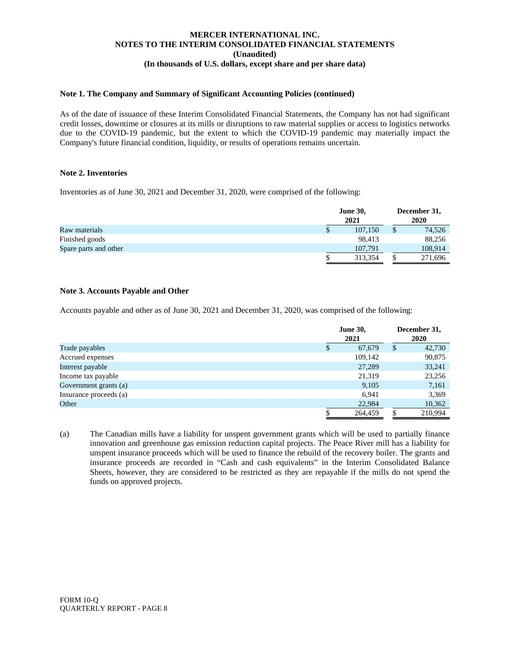## **Note 1. The Company and Summary of Significant Accounting Policies (continued)**

As of the date of issuance of these Interim Consolidated Financial Statements, the Company has not had significant credit losses, downtime or closures at its mills or disruptions to raw material supplies or access to logistics networks due to the COVID-19 pandemic, but the extent to which the COVID-19 pandemic may materially impact the Company's future financial condition, liquidity, or results of operations remains uncertain.

## **Note 2. Inventories**

Inventories as of June 30, 2021 and December 31, 2020, were comprised of the following:

|                       | <b>June 30,</b> |      | December 31, |  |  |  |
|-----------------------|-----------------|------|--------------|--|--|--|
|                       | 2021            | 2020 |              |  |  |  |
| Raw materials         | \$<br>107.150   | \$   | 74,526       |  |  |  |
| Finished goods        | 98.413          |      | 88,256       |  |  |  |
| Spare parts and other | 107,791         |      | 108,914      |  |  |  |
|                       | 313,354         | ъ    | 271,696      |  |  |  |

## **Note 3. Accounts Payable and Other**

Accounts payable and other as of June 30, 2021 and December 31, 2020, was comprised of the following:

|                        | <b>June 30,</b> |    | December 31, |  |  |
|------------------------|-----------------|----|--------------|--|--|
|                        | 2021            |    |              |  |  |
| Trade payables         | 67,679          | \$ | 42,730       |  |  |
| Accrued expenses       | 109,142         |    | 90,875       |  |  |
| Interest payable       | 27,289          |    | 33,241       |  |  |
| Income tax payable     | 21,319          |    | 23,256       |  |  |
| Government grants (a)  | 9,105           |    | 7,161        |  |  |
| Insurance proceeds (a) | 6.941           |    | 3,369        |  |  |
| Other                  | 22,984          |    | 10,362       |  |  |
|                        | 264.459         | \$ | 210.994      |  |  |

(a) The Canadian mills have a liability for unspent government grants which will be used to partially finance innovation and greenhouse gas emission reduction capital projects. The Peace River mill has a liability for unspent insurance proceeds which will be used to finance the rebuild of the recovery boiler. The grants and insurance proceeds are recorded in "Cash and cash equivalents" in the Interim Consolidated Balance Sheets, however, they are considered to be restricted as they are repayable if the mills do not spend the funds on approved projects.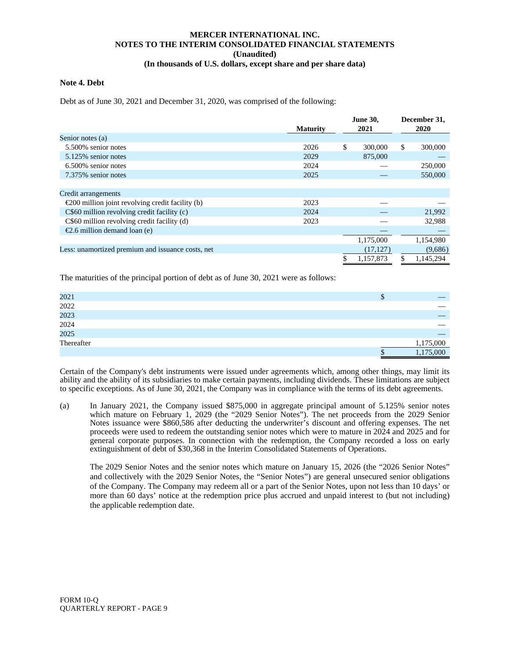## **Note 4. Debt**

Debt as of June 30, 2021 and December 31, 2020, was comprised of the following:

|                                                            |                 |      | <b>June 30,</b> | December 31,  |
|------------------------------------------------------------|-----------------|------|-----------------|---------------|
|                                                            | <b>Maturity</b> | 2021 |                 | 2020          |
| Senior notes (a)                                           |                 |      |                 |               |
| 5.500% senior notes                                        | 2026            | \$   | 300,000         | \$<br>300,000 |
| 5.125% senior notes                                        | 2029            |      | 875,000         |               |
| 6.500% senior notes                                        | 2024            |      |                 | 250,000       |
| 7.375% senior notes                                        | 2025            |      |                 | 550,000       |
|                                                            |                 |      |                 |               |
| Credit arrangements                                        |                 |      |                 |               |
| $\epsilon$ 200 million joint revolving credit facility (b) | 2023            |      |                 |               |
| C\$60 million revolving credit facility (c)                | 2024            |      |                 | 21,992        |
| C\$60 million revolving credit facility (d)                | 2023            |      |                 | 32,988        |
| €2.6 million demand loan (e)                               |                 |      |                 |               |
|                                                            |                 |      | 1,175,000       | 1,154,980     |
| Less: unamortized premium and issuance costs, net          |                 |      | (17, 127)       | (9,686)       |
|                                                            |                 |      | 1,157,873       | 1,145,294     |

The maturities of the principal portion of debt as of June 30, 2021 were as follows:

| 2021                       | D              |
|----------------------------|----------------|
| 2022<br>2023               |                |
|                            |                |
|                            |                |
| 2024<br>2025<br>Thereafter |                |
|                            | 1,175,000      |
|                            | 1,175,000<br>D |

Certain of the Company's debt instruments were issued under agreements which, among other things, may limit its ability and the ability of its subsidiaries to make certain payments, including dividends. These limitations are subject to specific exceptions. As of June 30, 2021, the Company was in compliance with the terms of its debt agreements.

(a) In January 2021, the Company issued \$875,000 in aggregate principal amount of 5.125% senior notes which mature on February 1, 2029 (the "2029 Senior Notes"). The net proceeds from the 2029 Senior Notes issuance were \$860,586 after deducting the underwriter's discount and offering expenses. The net proceeds were used to redeem the outstanding senior notes which were to mature in 2024 and 2025 and for general corporate purposes. In connection with the redemption, the Company recorded a loss on early extinguishment of debt of \$30,368 in the Interim Consolidated Statements of Operations.

The 2029 Senior Notes and the senior notes which mature on January 15, 2026 (the "2026 Senior Notes" and collectively with the 2029 Senior Notes, the "Senior Notes") are general unsecured senior obligations of the Company. The Company may redeem all or a part of the Senior Notes, upon not less than 10 days' or more than 60 days' notice at the redemption price plus accrued and unpaid interest to (but not including) the applicable redemption date.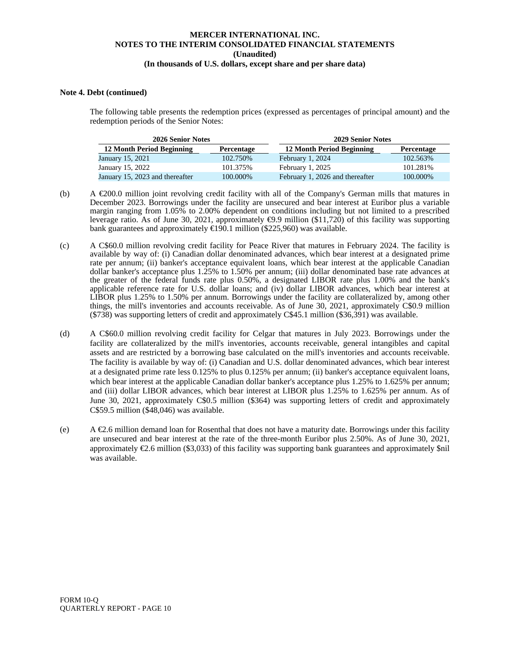## **Note 4. Debt (continued)**

The following table presents the redemption prices (expressed as percentages of principal amount) and the redemption periods of the Senior Notes:

| 2026 Senior Notes               |                   | <b>2029 Senior Notes</b>        |                   |
|---------------------------------|-------------------|---------------------------------|-------------------|
| 12 Month Period Beginning       | <b>Percentage</b> | 12 Month Period Beginning       | <b>Percentage</b> |
| January 15, 2021                | 102.750\%         | February 1, 2024                | 102.563%          |
| January 15, 2022                | 101.375%          | February 1, 2025                | 101.281%          |
| January 15, 2023 and thereafter | 100.000%          | February 1, 2026 and thereafter | 100.000\%         |

- (b) A  $\epsilon$ 200.0 million joint revolving credit facility with all of the Company's German mills that matures in December 2023. Borrowings under the facility are unsecured and bear interest at Euribor plus a variable margin ranging from 1.05% to 2.00% dependent on conditions including but not limited to a prescribed leverage ratio. As of June 30, 2021, approximately €9.9 million (\$11,720) of this facility was supporting bank guarantees and approximately  $\epsilon$ 190.1 million (\$225,960) was available.
- (c) A C\$60.0 million revolving credit facility for Peace River that matures in February 2024. The facility is available by way of: (i) Canadian dollar denominated advances, which bear interest at a designated prime rate per annum; (ii) banker's acceptance equivalent loans, which bear interest at the applicable Canadian dollar banker's acceptance plus 1.25% to 1.50% per annum; (iii) dollar denominated base rate advances at the greater of the federal funds rate plus 0.50%, a designated LIBOR rate plus 1.00% and the bank's applicable reference rate for U.S. dollar loans; and (iv) dollar LIBOR advances, which bear interest at LIBOR plus 1.25% to 1.50% per annum. Borrowings under the facility are collateralized by, among other things, the mill's inventories and accounts receivable. As of June 30, 2021, approximately C\$0.9 million (\$738) was supporting letters of credit and approximately C\$45.1 million (\$36,391) was available.
- (d) A C\$60.0 million revolving credit facility for Celgar that matures in July 2023. Borrowings under the facility are collateralized by the mill's inventories, accounts receivable, general intangibles and capital assets and are restricted by a borrowing base calculated on the mill's inventories and accounts receivable. The facility is available by way of: (i) Canadian and U.S. dollar denominated advances, which bear interest at a designated prime rate less 0.125% to plus 0.125% per annum; (ii) banker's acceptance equivalent loans, which bear interest at the applicable Canadian dollar banker's acceptance plus 1.25% to 1.625% per annum; and (iii) dollar LIBOR advances, which bear interest at LIBOR plus 1.25% to 1.625% per annum. As of June 30, 2021, approximately C\$0.5 million (\$364) was supporting letters of credit and approximately C\$59.5 million (\$48,046) was available.
- (e) A  $\epsilon$ 2.6 million demand loan for Rosenthal that does not have a maturity date. Borrowings under this facility are unsecured and bear interest at the rate of the three-month Euribor plus 2.50%. As of June 30, 2021, approximately  $\epsilon$ 2.6 million (\$3,033) of this facility was supporting bank guarantees and approximately \$nil was available.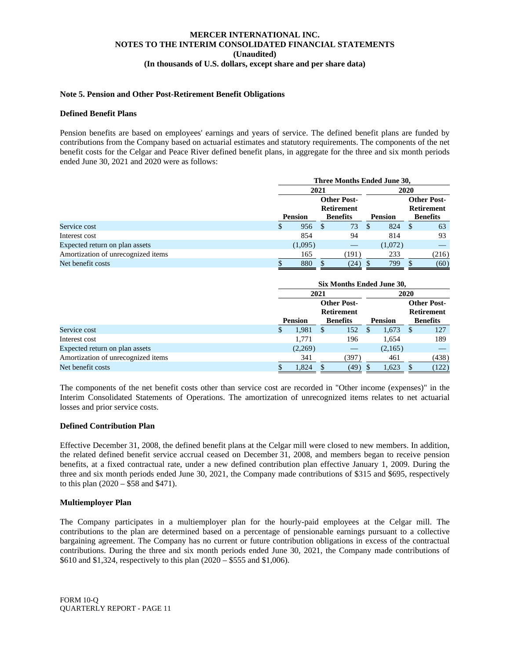## **Note 5. Pension and Other Post-Retirement Benefit Obligations**

## **Defined Benefit Plans**

Pension benefits are based on employees' earnings and years of service. The defined benefit plans are funded by contributions from the Company based on actuarial estimates and statutory requirements. The components of the net benefit costs for the Celgar and Peace River defined benefit plans, in aggregate for the three and six month periods ended June 30, 2021 and 2020 were as follows:

|                                    | Three Months Ended June 30, |         |                |       |    |         |      |                                                            |  |                |  |                                                            |
|------------------------------------|-----------------------------|---------|----------------|-------|----|---------|------|------------------------------------------------------------|--|----------------|--|------------------------------------------------------------|
|                                    |                             |         | 2021           |       |    |         | 2020 |                                                            |  |                |  |                                                            |
|                                    |                             |         | <b>Pension</b> |       |    |         |      | <b>Other Post-</b><br><b>Retirement</b><br><b>Benefits</b> |  | <b>Pension</b> |  | <b>Other Post-</b><br><b>Retirement</b><br><b>Benefits</b> |
| Service cost                       | \$                          | 956     | - \$           | 73    | S. | 824     | - S  | 63                                                         |  |                |  |                                                            |
| Interest cost                      |                             | 854     |                | 94    |    | 814     |      | 93                                                         |  |                |  |                                                            |
| Expected return on plan assets     |                             | (1,095) |                |       |    | (1,072) |      |                                                            |  |                |  |                                                            |
| Amortization of unrecognized items |                             | 165     |                | (191) |    | 233     |      | (216)                                                      |  |                |  |                                                            |
| Net benefit costs                  |                             | 880     |                | (24)  |    | 799     |      | (60)                                                       |  |                |  |                                                            |

|                                    |    | Six Months Ended June 30, |               |       |               |                                                            |              |                |  |  |  |  |                                                            |  |
|------------------------------------|----|---------------------------|---------------|-------|---------------|------------------------------------------------------------|--------------|----------------|--|--|--|--|------------------------------------------------------------|--|
|                                    |    |                           | 2021          |       |               |                                                            | 2020         |                |  |  |  |  |                                                            |  |
|                                    |    | <b>Pension</b>            |               |       |               | <b>Other Post-</b><br><b>Retirement</b><br><b>Benefits</b> |              | <b>Pension</b> |  |  |  |  | <b>Other Post-</b><br><b>Retirement</b><br><b>Benefits</b> |  |
| Service cost                       | \$ | 1,981                     | <sup>\$</sup> | 152   | <sup>\$</sup> | 1,673                                                      | <sup>8</sup> | 127            |  |  |  |  |                                                            |  |
| Interest cost                      |    | 1.771                     |               | 196   |               | 1.654                                                      |              | 189            |  |  |  |  |                                                            |  |
| Expected return on plan assets     |    | (2,269)                   |               |       |               | (2,165)                                                    |              |                |  |  |  |  |                                                            |  |
| Amortization of unrecognized items |    | 341                       |               | (397) |               | 461                                                        |              | (438)          |  |  |  |  |                                                            |  |
| Net benefit costs                  |    | 1.824                     |               | (49)  |               | 1,623                                                      |              | (122)          |  |  |  |  |                                                            |  |

The components of the net benefit costs other than service cost are recorded in "Other income (expenses)" in the Interim Consolidated Statements of Operations. The amortization of unrecognized items relates to net actuarial losses and prior service costs.

## **Defined Contribution Plan**

Effective December 31, 2008, the defined benefit plans at the Celgar mill were closed to new members. In addition, the related defined benefit service accrual ceased on December 31, 2008, and members began to receive pension benefits, at a fixed contractual rate, under a new defined contribution plan effective January 1, 2009. During the three and six month periods ended June 30, 2021, the Company made contributions of \$315 and \$695, respectively to this plan (2020 – \$58 and \$471).

## **Multiemployer Plan**

The Company participates in a multiemployer plan for the hourly-paid employees at the Celgar mill. The contributions to the plan are determined based on a percentage of pensionable earnings pursuant to a collective bargaining agreement. The Company has no current or future contribution obligations in excess of the contractual contributions. During the three and six month periods ended June 30, 2021, the Company made contributions of \$610 and \$1,324, respectively to this plan (2020 – \$555 and \$1,006).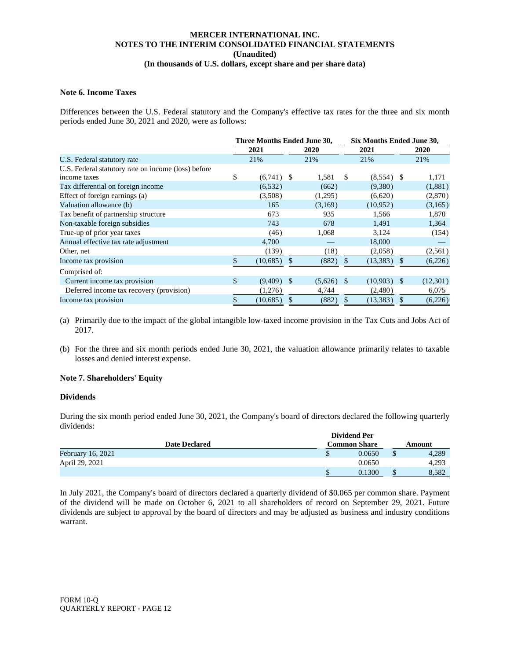## **Note 6. Income Taxes**

Differences between the U.S. Federal statutory and the Company's effective tax rates for the three and six month periods ended June 30, 2021 and 2020, were as follows:

|                                                                     |    | Three Months Ended June 30. |              |              |               | Six Months Ended June 30. |     |          |
|---------------------------------------------------------------------|----|-----------------------------|--------------|--------------|---------------|---------------------------|-----|----------|
|                                                                     |    |                             | 2021<br>2020 |              |               | 2021                      |     | 2020     |
| U.S. Federal statutory rate                                         |    | 21%                         |              | 21%          |               | 21%                       |     | 21%      |
| U.S. Federal statutory rate on income (loss) before<br>income taxes | \$ | $(6,741)$ \$                |              | 1,581        | <sup>\$</sup> | $(8,554)$ \$              |     | 1,171    |
| Tax differential on foreign income                                  |    | (6, 532)                    |              | (662)        |               | (9,380)                   |     | (1,881)  |
| Effect of foreign earnings (a)                                      |    | (3,508)                     |              | (1,295)      |               | (6,620)                   |     | (2,870)  |
| Valuation allowance (b)                                             |    | 165                         |              | (3,169)      |               | (10,952)                  |     | (3,165)  |
| Tax benefit of partnership structure                                |    | 673                         |              | 935          |               | 1,566                     |     | 1,870    |
| Non-taxable foreign subsidies                                       |    | 743                         |              | 678          |               | 1,491                     |     | 1,364    |
| True-up of prior year taxes                                         |    | (46)                        |              | 1,068        |               | 3,124                     |     | (154)    |
| Annual effective tax rate adjustment                                |    | 4,700                       |              |              |               | 18,000                    |     |          |
| Other, net                                                          |    | (139)                       |              | (18)         |               | (2,058)                   |     | (2,561)  |
| Income tax provision                                                |    | (10,685)                    |              | (882)        |               | (13, 383)                 | \$. | (6,226)  |
| Comprised of:                                                       |    |                             |              |              |               |                           |     |          |
| Current income tax provision                                        | \$ | $(9.409)$ \$                |              | $(5,626)$ \$ |               | $(10,903)$ \$             |     | (12,301) |
| Deferred income tax recovery (provision)                            |    | (1,276)                     |              | 4,744        |               | (2,480)                   |     | 6,075    |
| Income tax provision                                                | S  | (10,685)                    | \$           | (882)        | <sup>S</sup>  | (13, 383)                 | S   | (6,226)  |

- (a) Primarily due to the impact of the global intangible low-taxed income provision in the Tax Cuts and Jobs Act of 2017.
- (b) For the three and six month periods ended June 30, 2021, the valuation allowance primarily relates to taxable losses and denied interest expense.

## **Note 7. Shareholders' Equity**

#### **Dividends**

During the six month period ended June 30, 2021, the Company's board of directors declared the following quarterly dividends:

|                          |   | <b>Dividend Per</b> |   |        |
|--------------------------|---|---------------------|---|--------|
| <b>Date Declared</b>     |   | <b>Common Share</b> |   | Amount |
| <b>February 16, 2021</b> | J | 0.0650              | J | 4.289  |
| April 29, 2021           |   | 0.0650              |   | 4.293  |
|                          |   | 0.1300              | ۰ | 8.582  |

In July 2021, the Company's board of directors declared a quarterly dividend of \$0.065 per common share. Payment of the dividend will be made on October 6, 2021 to all shareholders of record on September 29, 2021. Future dividends are subject to approval by the board of directors and may be adjusted as business and industry conditions warrant.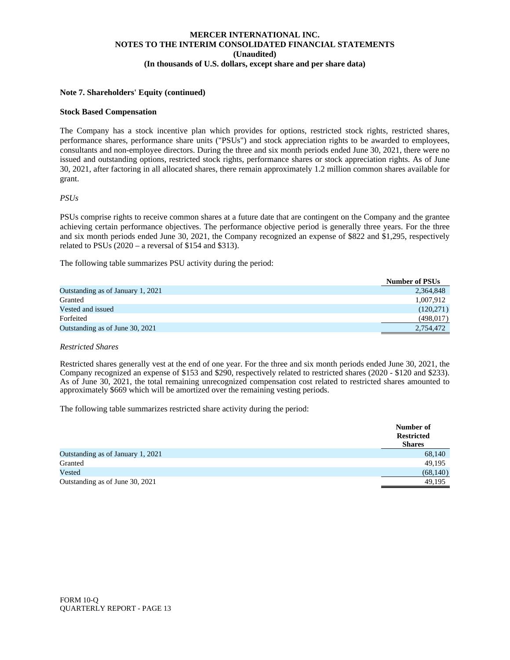## **Note 7. Shareholders' Equity (continued)**

#### **Stock Based Compensation**

The Company has a stock incentive plan which provides for options, restricted stock rights, restricted shares, performance shares, performance share units ("PSUs") and stock appreciation rights to be awarded to employees, consultants and non-employee directors. During the three and six month periods ended June 30, 2021, there were no issued and outstanding options, restricted stock rights, performance shares or stock appreciation rights. As of June 30, 2021, after factoring in all allocated shares, there remain approximately 1.2 million common shares available for grant.

## *PSUs*

PSUs comprise rights to receive common shares at a future date that are contingent on the Company and the grantee achieving certain performance objectives. The performance objective period is generally three years. For the three and six month periods ended June 30, 2021, the Company recognized an expense of \$822 and \$1,295, respectively related to PSUs (2020 – a reversal of \$154 and \$313).

The following table summarizes PSU activity during the period:

|                                   | <b>Number of PSUs</b> |
|-----------------------------------|-----------------------|
| Outstanding as of January 1, 2021 | 2,364,848             |
| Granted                           | 1.007.912             |
| Vested and issued                 | (120, 271)            |
| Forfeited                         | (498, 017)            |
| Outstanding as of June 30, 2021   | 2,754,472             |

#### *Restricted Shares*

Restricted shares generally vest at the end of one year. For the three and six month periods ended June 30, 2021, the Company recognized an expense of \$153 and \$290, respectively related to restricted shares (2020 - \$120 and \$233). As of June 30, 2021, the total remaining unrecognized compensation cost related to restricted shares amounted to approximately \$669 which will be amortized over the remaining vesting periods.

The following table summarizes restricted share activity during the period:

|                                   | Number of         |
|-----------------------------------|-------------------|
|                                   | <b>Restricted</b> |
|                                   | <b>Shares</b>     |
| Outstanding as of January 1, 2021 | 68,140            |
| Granted                           | 49,195            |
| Vested                            | (68, 140)         |
| Outstanding as of June 30, 2021   | 49,195            |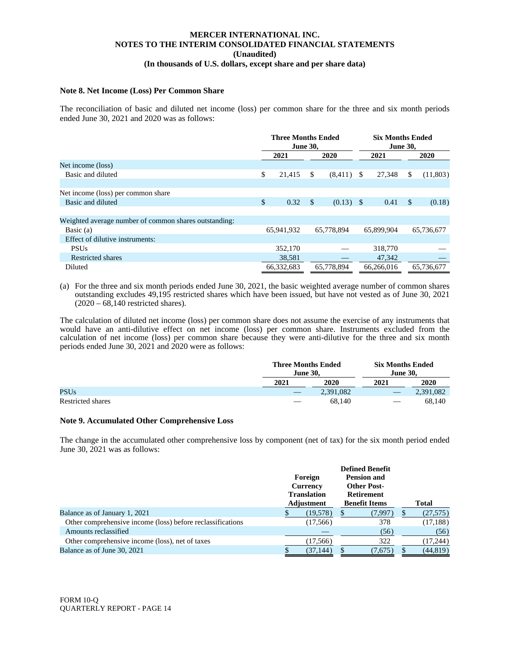#### **Note 8. Net Income (Loss) Per Common Share**

The reconciliation of basic and diluted net income (loss) per common share for the three and six month periods ended June 30, 2021 and 2020 was as follows:

|                                                       |    | <b>Three Months Ended</b><br><b>June 30.</b> |    |            |               | <b>Six Months Ended</b><br><b>June 30.</b> |               |            |  |  |  |  |  |  |  |  |  |  |  |  |  |  |  |  |  |  |  |  |  |  |  |  |  |  |  |  |  |  |  |  |  |      |  |      |  |  |  |  |  |  |  |      |
|-------------------------------------------------------|----|----------------------------------------------|----|------------|---------------|--------------------------------------------|---------------|------------|--|--|--|--|--|--|--|--|--|--|--|--|--|--|--|--|--|--|--|--|--|--|--|--|--|--|--|--|--|--|--|--|--|------|--|------|--|--|--|--|--|--|--|------|
|                                                       |    | 2021                                         |    |            |               |                                            |               |            |  |  |  |  |  |  |  |  |  |  |  |  |  |  |  |  |  |  |  |  |  |  |  |  |  |  |  |  |  |  |  |  |  | 2020 |  | 2021 |  |  |  |  |  |  |  | 2020 |
| Net income (loss)                                     |    |                                              |    |            |               |                                            |               |            |  |  |  |  |  |  |  |  |  |  |  |  |  |  |  |  |  |  |  |  |  |  |  |  |  |  |  |  |  |  |  |  |  |      |  |      |  |  |  |  |  |  |  |      |
| Basic and diluted                                     | \$ | 21,415                                       | \$ | (8,411)    | <sup>\$</sup> | 27,348                                     | S             | (11,803)   |  |  |  |  |  |  |  |  |  |  |  |  |  |  |  |  |  |  |  |  |  |  |  |  |  |  |  |  |  |  |  |  |  |      |  |      |  |  |  |  |  |  |  |      |
|                                                       |    |                                              |    |            |               |                                            |               |            |  |  |  |  |  |  |  |  |  |  |  |  |  |  |  |  |  |  |  |  |  |  |  |  |  |  |  |  |  |  |  |  |  |      |  |      |  |  |  |  |  |  |  |      |
| Net income (loss) per common share                    |    |                                              |    |            |               |                                            |               |            |  |  |  |  |  |  |  |  |  |  |  |  |  |  |  |  |  |  |  |  |  |  |  |  |  |  |  |  |  |  |  |  |  |      |  |      |  |  |  |  |  |  |  |      |
| Basic and diluted                                     | \$ | 0.32                                         | \$ | (0.13)     | - \$          | 0.41                                       | <sup>\$</sup> | (0.18)     |  |  |  |  |  |  |  |  |  |  |  |  |  |  |  |  |  |  |  |  |  |  |  |  |  |  |  |  |  |  |  |  |  |      |  |      |  |  |  |  |  |  |  |      |
|                                                       |    |                                              |    |            |               |                                            |               |            |  |  |  |  |  |  |  |  |  |  |  |  |  |  |  |  |  |  |  |  |  |  |  |  |  |  |  |  |  |  |  |  |  |      |  |      |  |  |  |  |  |  |  |      |
| Weighted average number of common shares outstanding: |    |                                              |    |            |               |                                            |               |            |  |  |  |  |  |  |  |  |  |  |  |  |  |  |  |  |  |  |  |  |  |  |  |  |  |  |  |  |  |  |  |  |  |      |  |      |  |  |  |  |  |  |  |      |
| Basic (a)                                             |    | 65,941,932                                   |    | 65,778,894 |               | 65,899,904                                 |               | 65,736,677 |  |  |  |  |  |  |  |  |  |  |  |  |  |  |  |  |  |  |  |  |  |  |  |  |  |  |  |  |  |  |  |  |  |      |  |      |  |  |  |  |  |  |  |      |
| Effect of dilutive instruments:                       |    |                                              |    |            |               |                                            |               |            |  |  |  |  |  |  |  |  |  |  |  |  |  |  |  |  |  |  |  |  |  |  |  |  |  |  |  |  |  |  |  |  |  |      |  |      |  |  |  |  |  |  |  |      |
| <b>PSUs</b>                                           |    | 352,170                                      |    |            |               | 318,770                                    |               |            |  |  |  |  |  |  |  |  |  |  |  |  |  |  |  |  |  |  |  |  |  |  |  |  |  |  |  |  |  |  |  |  |  |      |  |      |  |  |  |  |  |  |  |      |
| Restricted shares                                     |    | 38,581                                       |    |            |               | 47,342                                     |               |            |  |  |  |  |  |  |  |  |  |  |  |  |  |  |  |  |  |  |  |  |  |  |  |  |  |  |  |  |  |  |  |  |  |      |  |      |  |  |  |  |  |  |  |      |
| Diluted                                               |    | 66,332,683                                   |    | 65,778,894 |               | 66.266.016                                 |               | 65,736,677 |  |  |  |  |  |  |  |  |  |  |  |  |  |  |  |  |  |  |  |  |  |  |  |  |  |  |  |  |  |  |  |  |  |      |  |      |  |  |  |  |  |  |  |      |

(a) For the three and six month periods ended June 30, 2021, the basic weighted average number of common shares outstanding excludes 49,195 restricted shares which have been issued, but have not vested as of June 30, 2021 (2020 – 68,140 restricted shares).

The calculation of diluted net income (loss) per common share does not assume the exercise of any instruments that would have an anti-dilutive effect on net income (loss) per common share. Instruments excluded from the calculation of net income (loss) per common share because they were anti-dilutive for the three and six month periods ended June 30, 2021 and 2020 were as follows:

|                   | <b>Three Months Ended</b> |           | <b>Six Months Ended</b> |           |  |
|-------------------|---------------------------|-----------|-------------------------|-----------|--|
|                   | <b>June 30.</b>           |           | <b>June 30.</b>         |           |  |
|                   | 2021                      | 2020      | 2021                    | 2020      |  |
| <b>PSUs</b>       |                           | 2,391,082 |                         | 2,391,082 |  |
| Restricted shares |                           | 68.140    | $\hspace{0.05cm}$       | 68.140    |  |

#### **Note 9. Accumulated Other Comprehensive Loss**

The change in the accumulated other comprehensive loss by component (net of tax) for the six month period ended June 30, 2021 was as follows:

|                                                            |                                                     | <b>Defined Benefit</b>        |                      |         |   |              |  |  |
|------------------------------------------------------------|-----------------------------------------------------|-------------------------------|----------------------|---------|---|--------------|--|--|
|                                                            |                                                     | Foreign<br><b>Pension and</b> |                      |         |   |              |  |  |
|                                                            | <b>Currency</b><br><b>Translation</b><br>Adjustment |                               | <b>Other Post-</b>   |         |   |              |  |  |
|                                                            |                                                     |                               | <b>Retirement</b>    |         |   |              |  |  |
|                                                            |                                                     |                               | <b>Benefit Items</b> |         |   | <b>Total</b> |  |  |
| Balance as of January 1, 2021                              |                                                     | (19,578)                      | \$                   | (7,997) | S | (27,575)     |  |  |
| Other comprehensive income (loss) before reclassifications |                                                     | (17,566)                      |                      | 378     |   | (17, 188)    |  |  |
| Amounts reclassified                                       |                                                     |                               |                      | (56)    |   | (56)         |  |  |
| Other comprehensive income (loss), net of taxes            |                                                     | (17, 566)                     |                      | 322     |   | (17, 244)    |  |  |
| Balance as of June 30, 2021                                |                                                     | (37, 144)                     |                      | (7,675) |   | (44, 819)    |  |  |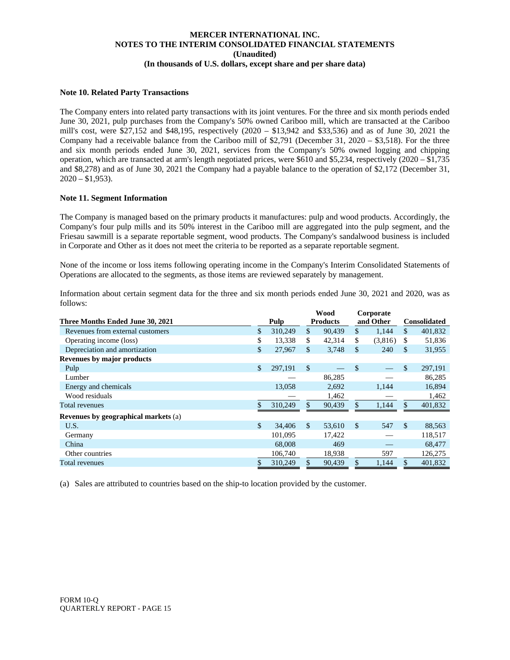## **Note 10. Related Party Transactions**

The Company enters into related party transactions with its joint ventures. For the three and six month periods ended June 30, 2021, pulp purchases from the Company's 50% owned Cariboo mill, which are transacted at the Cariboo mill's cost, were \$27,152 and \$48,195, respectively (2020 – \$13,942 and \$33,536) and as of June 30, 2021 the Company had a receivable balance from the Cariboo mill of \$2,791 (December 31, 2020 – \$3,518). For the three and six month periods ended June 30, 2021, services from the Company's 50% owned logging and chipping operation, which are transacted at arm's length negotiated prices, were \$610 and \$5,234, respectively (2020 – \$1,735 and \$8,278) and as of June 30, 2021 the Company had a payable balance to the operation of \$2,172 (December 31,  $2020 - $1,953$ .

## **Note 11. Segment Information**

The Company is managed based on the primary products it manufactures: pulp and wood products. Accordingly, the Company's four pulp mills and its 50% interest in the Cariboo mill are aggregated into the pulp segment, and the Friesau sawmill is a separate reportable segment, wood products. The Company's sandalwood business is included in Corporate and Other as it does not meet the criteria to be reported as a separate reportable segment.

None of the income or loss items following operating income in the Company's Interim Consolidated Statements of Operations are allocated to the segments, as those items are reviewed separately by management.

Information about certain segment data for the three and six month periods ended June 30, 2021 and 2020, was as follows:

|                                             |              |         | Wood          |        |               | Corporate       |              |         |  |  |  |           |  |                     |
|---------------------------------------------|--------------|---------|---------------|--------|---------------|-----------------|--------------|---------|--|--|--|-----------|--|---------------------|
| Three Months Ended June 30, 2021            |              | Pulp    |               |        |               | <b>Products</b> |              |         |  |  |  | and Other |  | <b>Consolidated</b> |
| Revenues from external customers            | \$           | 310,249 | $\mathbb{S}$  | 90,439 | \$.           | 1,144           | \$           | 401,832 |  |  |  |           |  |                     |
| Operating income (loss)                     | \$           | 13,338  | \$            | 42,314 | \$            | (3,816)         | \$           | 51,836  |  |  |  |           |  |                     |
| Depreciation and amortization               | \$           | 27,967  | \$            | 3,748  | \$            | 240             | \$           | 31,955  |  |  |  |           |  |                     |
| Revenues by major products                  |              |         |               |        |               |                 |              |         |  |  |  |           |  |                     |
| Pulp                                        | $\mathbb{S}$ | 297,191 | $\mathbb{S}$  |        | $\mathbb{S}$  |                 | $\mathbb{S}$ | 297,191 |  |  |  |           |  |                     |
| Lumber                                      |              |         |               | 86,285 |               |                 |              | 86,285  |  |  |  |           |  |                     |
| Energy and chemicals                        |              | 13,058  |               | 2,692  |               | 1,144           |              | 16,894  |  |  |  |           |  |                     |
| Wood residuals                              |              |         |               | 1,462  |               |                 |              | 1,462   |  |  |  |           |  |                     |
| Total revenues                              | \$           | 310,249 | \$            | 90,439 |               | 1,144           | \$           | 401,832 |  |  |  |           |  |                     |
| <b>Revenues by geographical markets (a)</b> |              |         |               |        |               |                 |              |         |  |  |  |           |  |                     |
| U.S.                                        | \$           | 34,406  | <sup>\$</sup> | 53,610 | <sup>\$</sup> | 547             | \$.          | 88,563  |  |  |  |           |  |                     |
| Germany                                     |              | 101,095 |               | 17,422 |               |                 |              | 118,517 |  |  |  |           |  |                     |
| China                                       |              | 68,008  |               | 469    |               |                 |              | 68,477  |  |  |  |           |  |                     |
| Other countries                             |              | 106,740 |               | 18,938 |               | 597             |              | 126,275 |  |  |  |           |  |                     |
| Total revenues                              |              | 310,249 | \$            | 90,439 |               | 1,144           | \$           | 401,832 |  |  |  |           |  |                     |

(a) Sales are attributed to countries based on the ship-to location provided by the customer.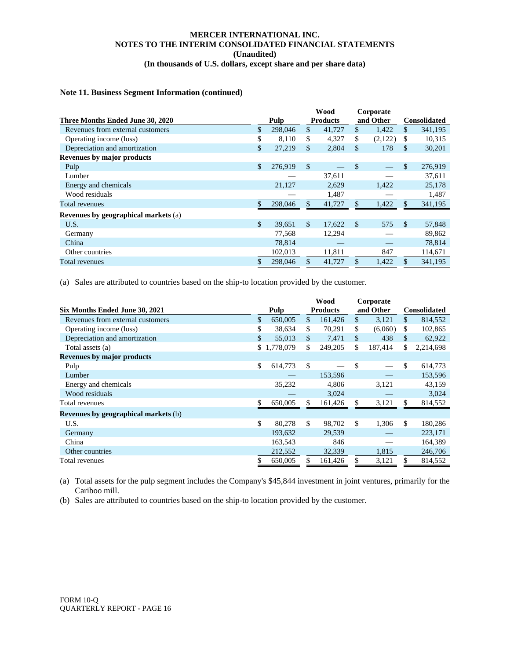## **Note 11. Business Segment Information (continued)**

|                                      |               |               | Wood            |               | Corporate |                     |         |
|--------------------------------------|---------------|---------------|-----------------|---------------|-----------|---------------------|---------|
| Three Months Ended June 30, 2020     | Pulp          |               | <b>Products</b> | and Other     |           | <b>Consolidated</b> |         |
| Revenues from external customers     | \$<br>298,046 | \$.           | 41,727          | \$            | 1,422     | \$                  | 341,195 |
| Operating income (loss)              | \$<br>8,110   | \$.           | 4,327           | \$            | (2,122)   | \$.                 | 10,315  |
| Depreciation and amortization        | \$<br>27,219  | \$            | 2,804           | \$            | 178       | \$                  | 30,201  |
| <b>Revenues by major products</b>    |               |               |                 |               |           |                     |         |
| Pulp                                 | \$<br>276,919 | $\mathbb{S}$  |                 | \$            |           | \$                  | 276,919 |
| Lumber                               |               |               | 37,611          |               |           |                     | 37,611  |
| Energy and chemicals                 | 21,127        |               | 2,629           |               | 1,422     |                     | 25,178  |
| Wood residuals                       |               |               | 1,487           |               |           |                     | 1,487   |
| Total revenues                       | \$<br>298,046 | \$            | 41,727          |               | 1,422     | \$                  | 341,195 |
| Revenues by geographical markets (a) |               |               |                 |               |           |                     |         |
| U.S.                                 | \$<br>39,651  | $\mathcal{S}$ | 17,622          | <sup>\$</sup> | 575       | \$                  | 57,848  |
| Germany                              | 77,568        |               | 12,294          |               |           |                     | 89,862  |
| China                                | 78.814        |               |                 |               |           |                     | 78,814  |
| Other countries                      | 102,013       |               | 11,811          |               | 847       |                     | 114,671 |
| Total revenues                       | \$<br>298,046 | \$.           | 41,727          | \$            | 1,422     | \$                  | 341,195 |

(a) Sales are attributed to countries based on the ship-to location provided by the customer.

|                                      |                 | Wood          |                 | Corporate     |           |     |                     |
|--------------------------------------|-----------------|---------------|-----------------|---------------|-----------|-----|---------------------|
| Six Months Ended June 30, 2021       | Pulp            |               | <b>Products</b> |               | and Other |     | <b>Consolidated</b> |
| Revenues from external customers     | \$<br>650,005   | \$            | 161,426         | \$            | 3,121     | \$  | 814,552             |
| Operating income (loss)              | \$<br>38,634    | \$            | 70,291          | \$            | (6,060)   | \$  | 102,865             |
| Depreciation and amortization        | \$<br>55,013    | \$            | 7,471           | \$            | 438       | \$  | 62,922              |
| Total assets (a)                     | \$<br>1,778,079 | \$            | 249,205         | \$            | 187,414   | \$  | 2,214,698           |
| <b>Revenues by major products</b>    |                 |               |                 |               |           |     |                     |
| Pulp                                 | \$<br>614,773   | $\mathcal{S}$ |                 | <sup>\$</sup> |           | \$  | 614,773             |
| Lumber                               |                 |               | 153,596         |               |           |     | 153,596             |
| Energy and chemicals                 | 35,232          |               | 4,806           |               | 3,121     |     | 43,159              |
| Wood residuals                       |                 |               | 3,024           |               |           |     | 3,024               |
| Total revenues                       | \$<br>650,005   | \$            | 161,426         |               | 3,121     | \$  | 814,552             |
| Revenues by geographical markets (b) |                 |               |                 |               |           |     |                     |
| U.S.                                 | \$<br>80,278    | \$            | 98,702          | \$.           | 1,306     | \$. | 180,286             |
| Germany                              | 193,632         |               | 29,539          |               |           |     | 223,171             |
| China                                | 163,543         |               | 846             |               |           |     | 164,389             |
| Other countries                      | 212,552         |               | 32,339          |               | 1,815     |     | 246,706             |
| Total revenues                       | 650,005         |               | 161,426         |               | 3,121     | \$  | 814,552             |

(a) Total assets for the pulp segment includes the Company's \$45,844 investment in joint ventures, primarily for the Cariboo mill.

(b) Sales are attributed to countries based on the ship-to location provided by the customer.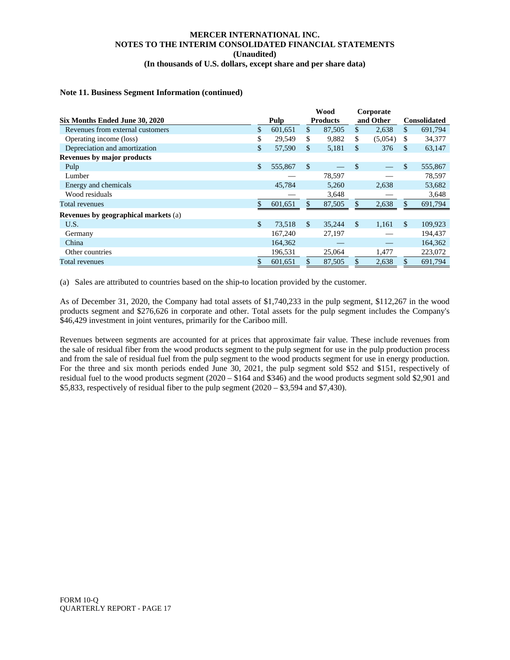## **Note 11. Business Segment Information (continued)**

|                                             |               |         |               | Wood            |               | Corporate |     |                     |  |
|---------------------------------------------|---------------|---------|---------------|-----------------|---------------|-----------|-----|---------------------|--|
| Six Months Ended June 30, 2020              |               | Pulp    |               | <b>Products</b> | and Other     |           |     | <b>Consolidated</b> |  |
| Revenues from external customers            | \$            | 601.651 | \$            | 87,505          | \$            | 2,638     | \$  | 691,794             |  |
| Operating income (loss)                     | \$            | 29,549  | \$            | 9,882           | \$            | (5,054)   | \$  | 34,377              |  |
| Depreciation and amortization               | \$            | 57,590  | \$            | 5,181           | \$.           | 376       | \$  | 63,147              |  |
| <b>Revenues by major products</b>           |               |         |               |                 |               |           |     |                     |  |
| Pulp                                        | \$            | 555,867 | $\mathcal{S}$ |                 | <sup>\$</sup> |           | \$  | 555,867             |  |
| Lumber                                      |               |         |               | 78,597          |               |           |     | 78,597              |  |
| Energy and chemicals                        |               | 45.784  |               | 5,260           |               | 2,638     |     | 53,682              |  |
| Wood residuals                              |               |         |               | 3,648           |               |           |     | 3,648               |  |
| Total revenues                              | \$            | 601,651 | \$.           | 87,505          |               | 2,638     | \$  | 691,794             |  |
| <b>Revenues by geographical markets (a)</b> |               |         |               |                 |               |           |     |                     |  |
| U.S.                                        | $\mathcal{S}$ | 73,518  | $\mathcal{S}$ | 35.244          | \$.           | 1,161     | \$. | 109,923             |  |
| Germany                                     |               | 167,240 |               | 27,197          |               |           |     | 194,437             |  |
| China                                       |               | 164.362 |               |                 |               |           |     | 164,362             |  |
| Other countries                             |               | 196,531 |               | 25,064          |               | 1,477     |     | 223,072             |  |
| Total revenues                              | \$            | 601,651 | \$            | 87,505          | \$            | 2,638     | \$  | 691,794             |  |

(a) Sales are attributed to countries based on the ship-to location provided by the customer.

As of December 31, 2020, the Company had total assets of \$1,740,233 in the pulp segment, \$112,267 in the wood products segment and \$276,626 in corporate and other. Total assets for the pulp segment includes the Company's \$46,429 investment in joint ventures, primarily for the Cariboo mill.

Revenues between segments are accounted for at prices that approximate fair value. These include revenues from the sale of residual fiber from the wood products segment to the pulp segment for use in the pulp production process and from the sale of residual fuel from the pulp segment to the wood products segment for use in energy production. For the three and six month periods ended June 30, 2021, the pulp segment sold \$52 and \$151, respectively of residual fuel to the wood products segment (2020 – \$164 and \$346) and the wood products segment sold \$2,901 and \$5,833, respectively of residual fiber to the pulp segment (2020 – \$3,594 and \$7,430).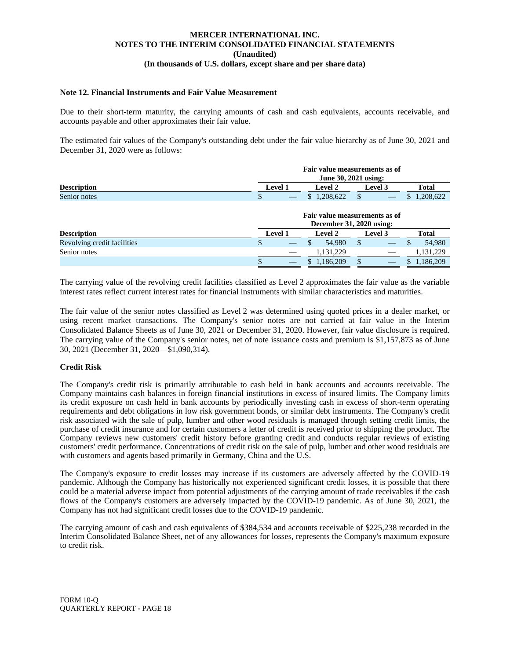## **Note 12. Financial Instruments and Fair Value Measurement**

Due to their short-term maturity, the carrying amounts of cash and cash equivalents, accounts receivable, and accounts payable and other approximates their fair value.

The estimated fair values of the Company's outstanding debt under the fair value hierarchy as of June 30, 2021 and December 31, 2020 were as follows:

|                             | Fair value measurements as of |                |                               |                |  |
|-----------------------------|-------------------------------|----------------|-------------------------------|----------------|--|
|                             | June 30, 2021 using:          |                |                               |                |  |
| <b>Description</b>          | <b>Level 1</b>                | Level 2        | Level 3                       | <b>Total</b>   |  |
| Senior notes                | \$                            | \$1,208,622    | S                             | 1,208,622<br>S |  |
|                             |                               |                |                               |                |  |
|                             |                               |                | Fair value measurements as of |                |  |
|                             |                               |                | December 31, 2020 using:      |                |  |
| <b>Description</b>          | <b>Level 1</b>                | <b>Level 2</b> | Level 3                       | <b>Total</b>   |  |
| Revolving credit facilities | \$                            | 54,980<br>\$   | \$                            | 54,980         |  |
| Senior notes                |                               | 1,131,229      |                               | 1,131,229      |  |
|                             | \$                            | 1,186,209      |                               | 1,186,209<br>S |  |

The carrying value of the revolving credit facilities classified as Level 2 approximates the fair value as the variable interest rates reflect current interest rates for financial instruments with similar characteristics and maturities.

The fair value of the senior notes classified as Level 2 was determined using quoted prices in a dealer market, or using recent market transactions. The Company's senior notes are not carried at fair value in the Interim Consolidated Balance Sheets as of June 30, 2021 or December 31, 2020. However, fair value disclosure is required. The carrying value of the Company's senior notes, net of note issuance costs and premium is \$1,157,873 as of June 30, 2021 (December 31, 2020 – \$1,090,314).

## **Credit Risk**

The Company's credit risk is primarily attributable to cash held in bank accounts and accounts receivable. The Company maintains cash balances in foreign financial institutions in excess of insured limits. The Company limits its credit exposure on cash held in bank accounts by periodically investing cash in excess of short-term operating requirements and debt obligations in low risk government bonds, or similar debt instruments. The Company's credit risk associated with the sale of pulp, lumber and other wood residuals is managed through setting credit limits, the purchase of credit insurance and for certain customers a letter of credit is received prior to shipping the product. The Company reviews new customers' credit history before granting credit and conducts regular reviews of existing customers' credit performance. Concentrations of credit risk on the sale of pulp, lumber and other wood residuals are with customers and agents based primarily in Germany, China and the U.S.

The Company's exposure to credit losses may increase if its customers are adversely affected by the COVID-19 pandemic. Although the Company has historically not experienced significant credit losses, it is possible that there could be a material adverse impact from potential adjustments of the carrying amount of trade receivables if the cash flows of the Company's customers are adversely impacted by the COVID-19 pandemic. As of June 30, 2021, the Company has not had significant credit losses due to the COVID-19 pandemic.

The carrying amount of cash and cash equivalents of \$384,534 and accounts receivable of \$225,238 recorded in the Interim Consolidated Balance Sheet, net of any allowances for losses, represents the Company's maximum exposure to credit risk.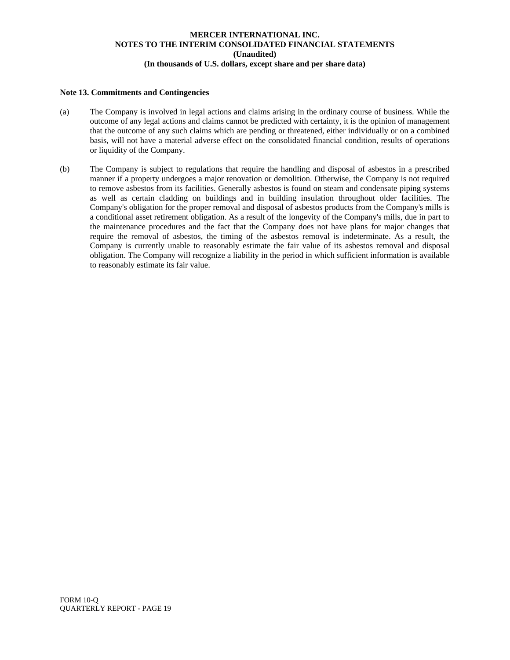## **Note 13. Commitments and Contingencies**

- (a) The Company is involved in legal actions and claims arising in the ordinary course of business. While the outcome of any legal actions and claims cannot be predicted with certainty, it is the opinion of management that the outcome of any such claims which are pending or threatened, either individually or on a combined basis, will not have a material adverse effect on the consolidated financial condition, results of operations or liquidity of the Company.
- (b) The Company is subject to regulations that require the handling and disposal of asbestos in a prescribed manner if a property undergoes a major renovation or demolition. Otherwise, the Company is not required to remove asbestos from its facilities. Generally asbestos is found on steam and condensate piping systems as well as certain cladding on buildings and in building insulation throughout older facilities. The Company's obligation for the proper removal and disposal of asbestos products from the Company's mills is a conditional asset retirement obligation. As a result of the longevity of the Company's mills, due in part to the maintenance procedures and the fact that the Company does not have plans for major changes that require the removal of asbestos, the timing of the asbestos removal is indeterminate. As a result, the Company is currently unable to reasonably estimate the fair value of its asbestos removal and disposal obligation. The Company will recognize a liability in the period in which sufficient information is available to reasonably estimate its fair value.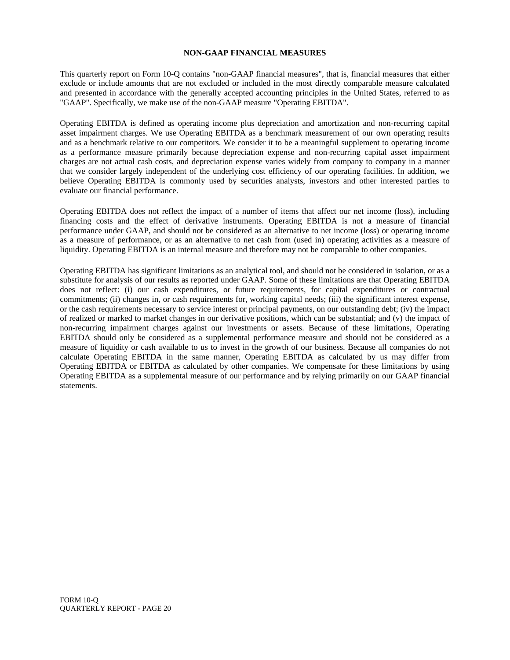## **NON-GAAP FINANCIAL MEASURES**

This quarterly report on Form 10-Q contains "non-GAAP financial measures", that is, financial measures that either exclude or include amounts that are not excluded or included in the most directly comparable measure calculated and presented in accordance with the generally accepted accounting principles in the United States, referred to as "GAAP". Specifically, we make use of the non-GAAP measure "Operating EBITDA".

Operating EBITDA is defined as operating income plus depreciation and amortization and non-recurring capital asset impairment charges. We use Operating EBITDA as a benchmark measurement of our own operating results and as a benchmark relative to our competitors. We consider it to be a meaningful supplement to operating income as a performance measure primarily because depreciation expense and non-recurring capital asset impairment charges are not actual cash costs, and depreciation expense varies widely from company to company in a manner that we consider largely independent of the underlying cost efficiency of our operating facilities. In addition, we believe Operating EBITDA is commonly used by securities analysts, investors and other interested parties to evaluate our financial performance.

Operating EBITDA does not reflect the impact of a number of items that affect our net income (loss), including financing costs and the effect of derivative instruments. Operating EBITDA is not a measure of financial performance under GAAP, and should not be considered as an alternative to net income (loss) or operating income as a measure of performance, or as an alternative to net cash from (used in) operating activities as a measure of liquidity. Operating EBITDA is an internal measure and therefore may not be comparable to other companies.

Operating EBITDA has significant limitations as an analytical tool, and should not be considered in isolation, or as a substitute for analysis of our results as reported under GAAP. Some of these limitations are that Operating EBITDA does not reflect: (i) our cash expenditures, or future requirements, for capital expenditures or contractual commitments; (ii) changes in, or cash requirements for, working capital needs; (iii) the significant interest expense, or the cash requirements necessary to service interest or principal payments, on our outstanding debt; (iv) the impact of realized or marked to market changes in our derivative positions, which can be substantial; and (v) the impact of non-recurring impairment charges against our investments or assets. Because of these limitations, Operating EBITDA should only be considered as a supplemental performance measure and should not be considered as a measure of liquidity or cash available to us to invest in the growth of our business. Because all companies do not calculate Operating EBITDA in the same manner, Operating EBITDA as calculated by us may differ from Operating EBITDA or EBITDA as calculated by other companies. We compensate for these limitations by using Operating EBITDA as a supplemental measure of our performance and by relying primarily on our GAAP financial statements.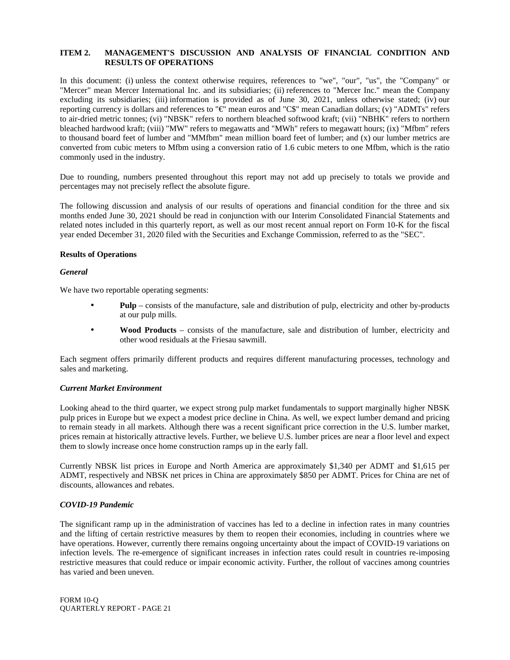## **ITEM 2. MANAGEMENT'S DISCUSSION AND ANALYSIS OF FINANCIAL CONDITION AND RESULTS OF OPERATIONS**

In this document: (i) unless the context otherwise requires, references to "we", "our", "us", the "Company" or "Mercer" mean Mercer International Inc. and its subsidiaries; (ii) references to "Mercer Inc." mean the Company excluding its subsidiaries; (iii) information is provided as of June 30, 2021, unless otherwise stated; (iv) our reporting currency is dollars and references to "€" mean euros and "C\$" mean Canadian dollars; (v) "ADMTs" refers to air-dried metric tonnes; (vi) "NBSK" refers to northern bleached softwood kraft; (vii) "NBHK" refers to northern bleached hardwood kraft; (viii) "MW" refers to megawatts and "MWh" refers to megawatt hours; (ix) "Mfbm" refers to thousand board feet of lumber and "MMfbm" mean million board feet of lumber; and (x) our lumber metrics are converted from cubic meters to Mfbm using a conversion ratio of 1.6 cubic meters to one Mfbm, which is the ratio commonly used in the industry.

Due to rounding, numbers presented throughout this report may not add up precisely to totals we provide and percentages may not precisely reflect the absolute figure.

The following discussion and analysis of our results of operations and financial condition for the three and six months ended June 30, 2021 should be read in conjunction with our Interim Consolidated Financial Statements and related notes included in this quarterly report, as well as our most recent annual report on Form 10-K for the fiscal year ended December 31, 2020 filed with the Securities and Exchange Commission, referred to as the "SEC".

## **Results of Operations**

## *General*

We have two reportable operating segments:

- **Pulp** consists of the manufacture, sale and distribution of pulp, electricity and other by-products at our pulp mills.
- **Wood Products** consists of the manufacture, sale and distribution of lumber, electricity and other wood residuals at the Friesau sawmill.

Each segment offers primarily different products and requires different manufacturing processes, technology and sales and marketing.

## *Current Market Environment*

Looking ahead to the third quarter, we expect strong pulp market fundamentals to support marginally higher NBSK pulp prices in Europe but we expect a modest price decline in China. As well, we expect lumber demand and pricing to remain steady in all markets. Although there was a recent significant price correction in the U.S. lumber market, prices remain at historically attractive levels. Further, we believe U.S. lumber prices are near a floor level and expect them to slowly increase once home construction ramps up in the early fall.

Currently NBSK list prices in Europe and North America are approximately \$1,340 per ADMT and \$1,615 per ADMT, respectively and NBSK net prices in China are approximately \$850 per ADMT. Prices for China are net of discounts, allowances and rebates.

## *COVID-19 Pandemic*

The significant ramp up in the administration of vaccines has led to a decline in infection rates in many countries and the lifting of certain restrictive measures by them to reopen their economies, including in countries where we have operations. However, currently there remains ongoing uncertainty about the impact of COVID-19 variations on infection levels. The re-emergence of significant increases in infection rates could result in countries re-imposing restrictive measures that could reduce or impair economic activity. Further, the rollout of vaccines among countries has varied and been uneven.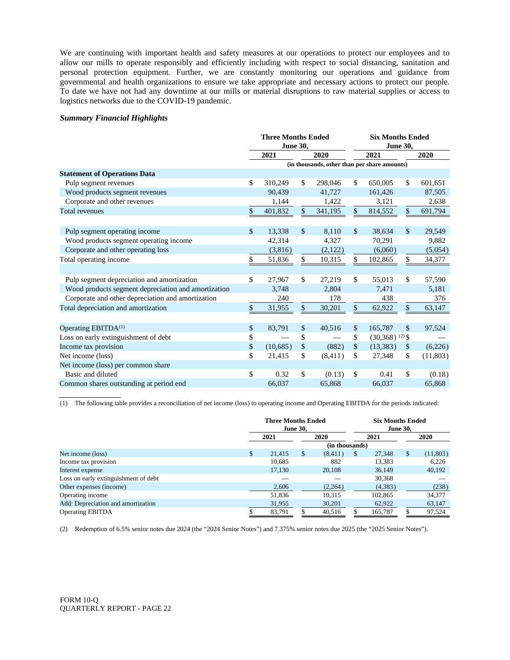We are continuing with important health and safety measures at our operations to protect our employees and to allow our mills to operate responsibly and efficiently including with respect to social distancing, sanitation and personal protection equipment. Further, we are constantly monitoring our operations and guidance from governmental and health organizations to ensure we take appropriate and necessary actions to protect our people. To date we have not had any downtime at our mills or material disruptions to raw material supplies or access to logistics networks due to the COVID-19 pandemic.

## *Summary Financial Highlights*

|                                                     | <b>Three Months Ended</b><br><b>June 30,</b> |              |                                              | <b>Six Months Ended</b><br><b>June 30,</b> |    |           |
|-----------------------------------------------------|----------------------------------------------|--------------|----------------------------------------------|--------------------------------------------|----|-----------|
|                                                     | 2021                                         |              | 2020                                         | 2021                                       |    | 2020      |
|                                                     |                                              |              | (in thousands, other than per share amounts) |                                            |    |           |
| <b>Statement of Operations Data</b>                 |                                              |              |                                              |                                            |    |           |
| Pulp segment revenues                               | \$<br>310,249                                | \$           | 298,046                                      | \$<br>650,005                              | \$ | 601,651   |
| Wood products segment revenues                      | 90.439                                       |              | 41,727                                       | 161,426                                    |    | 87,505    |
| Corporate and other revenues                        | 1,144                                        |              | 1,422                                        | 3,121                                      |    | 2,638     |
| <b>Total revenues</b>                               | \$<br>401,832                                | \$           | 341,195                                      | \$<br>814,552                              | \$ | 691,794   |
|                                                     |                                              |              |                                              |                                            |    |           |
| Pulp segment operating income                       | \$<br>13,338                                 | $\mathbb{S}$ | 8,110                                        | \$<br>38,634                               | \$ | 29,549    |
| Wood products segment operating income              | 42,314                                       |              | 4,327                                        | 70,291                                     |    | 9,882     |
| Corporate and other operating loss                  | (3,816)                                      |              | (2,122)                                      | (6,060)                                    |    | (5,054)   |
| Total operating income                              | \$<br>51,836                                 | \$           | 10,315                                       | \$<br>102,865                              | \$ | 34,377    |
|                                                     |                                              |              |                                              |                                            |    |           |
| Pulp segment depreciation and amortization          | \$<br>27,967                                 | $\mathbb{S}$ | 27,219                                       | \$<br>55,013                               | \$ | 57,590    |
| Wood products segment depreciation and amortization | 3,748                                        |              | 2.804                                        | 7.471                                      |    | 5,181     |
| Corporate and other depreciation and amortization   | 240                                          |              | 178                                          | 438                                        |    | 376       |
| Total depreciation and amortization                 | \$<br>31,955                                 | \$           | 30,201                                       | \$<br>62,922                               | \$ | 63,147    |
|                                                     |                                              |              |                                              |                                            |    |           |
| Operating EBITDA <sup>(1)</sup>                     | \$<br>83,791                                 | \$           | 40,516                                       | \$<br>165,787                              | \$ | 97,524    |
| Loss on early extinguishment of debt                | \$                                           | \$           |                                              | \$<br>$(30,368)$ <sup>(2)</sup> \$         |    |           |
| Income tax provision                                | \$<br>(10,685)                               | \$           | (882)                                        | \$<br>(13, 383)                            | \$ | (6,226)   |
| Net income (loss)                                   | \$<br>21,415                                 | \$           | (8, 411)                                     | \$<br>27,348                               | \$ | (11, 803) |
| Net income (loss) per common share                  |                                              |              |                                              |                                            |    |           |
| Basic and diluted                                   | \$<br>0.32                                   | \$           | (0.13)                                       | \$<br>0.41                                 | \$ | (0.18)    |
| Common shares outstanding at period end             | 66,037                                       |              | 65,868                                       | 66,037                                     |    | 65,868    |

(1) The following table provides a reconciliation of net income (loss) to operating income and Operating EBITDA for the periods indicated:

|                                      | <b>Three Months Ended</b><br><b>June 30,</b> |   | <b>Six Months Ended</b><br><b>June 30,</b> |   |         |                 |
|--------------------------------------|----------------------------------------------|---|--------------------------------------------|---|---------|-----------------|
|                                      | 2021                                         |   | 2020                                       |   | 2021    | 2020            |
|                                      |                                              |   | (in thousands)                             |   |         |                 |
| Net income (loss)                    | \$<br>21,415                                 | S | (8, 411)                                   | S | 27,348  | \$<br>(11, 803) |
| Income tax provision                 | 10.685                                       |   | 882                                        |   | 13,383  | 6.226           |
| Interest expense                     | 17,130                                       |   | 20,108                                     |   | 36,149  | 40,192          |
| Loss on early extinguishment of debt |                                              |   |                                            |   | 30,368  |                 |
| Other expenses (income)              | 2.606                                        |   | (2,264)                                    |   | (4,383) | (238)           |
| Operating income                     | 51,836                                       |   | 10,315                                     |   | 102,865 | 34,377          |
| Add: Depreciation and amortization   | 31,955                                       |   | 30,201                                     |   | 62,922  | 63,147          |
| <b>Operating EBITDA</b>              | 83,791                                       |   | 40,516                                     |   | 165,787 | 97,524          |

(2) Redemption of 6.5% senior notes due 2024 (the "2024 Senior Notes") and 7.375% senior notes due 2025 (the "2025 Senior Notes").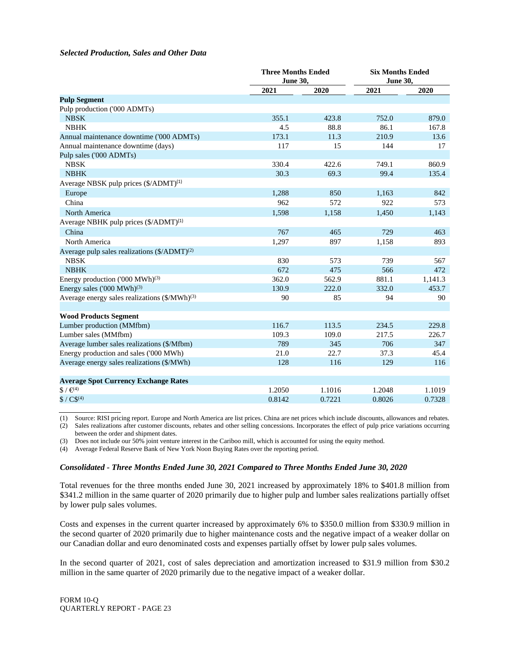#### *Selected Production, Sales and Other Data*

|                                                           | <b>Three Months Ended</b><br><b>June 30,</b> |        | <b>Six Months Ended</b><br><b>June 30,</b> |         |
|-----------------------------------------------------------|----------------------------------------------|--------|--------------------------------------------|---------|
|                                                           | 2021                                         | 2020   | 2021                                       | 2020    |
| <b>Pulp Segment</b>                                       |                                              |        |                                            |         |
| Pulp production ('000 ADMTs)                              |                                              |        |                                            |         |
| <b>NBSK</b>                                               | 355.1                                        | 423.8  | 752.0                                      | 879.0   |
| <b>NBHK</b>                                               | 4.5                                          | 88.8   | 86.1                                       | 167.8   |
| Annual maintenance downtime ('000 ADMTs)                  | 173.1                                        | 11.3   | 210.9                                      | 13.6    |
| Annual maintenance downtime (days)                        | 117                                          | 15     | 144                                        | 17      |
| Pulp sales ('000 ADMTs)                                   |                                              |        |                                            |         |
| <b>NBSK</b>                                               | 330.4                                        | 422.6  | 749.1                                      | 860.9   |
| <b>NBHK</b>                                               | 30.3                                         | 69.3   | 99.4                                       | 135.4   |
| Average NBSK pulp prices (\$/ADMT) <sup>(1)</sup>         |                                              |        |                                            |         |
| Europe                                                    | 1,288                                        | 850    | 1,163                                      | 842     |
| China                                                     | 962                                          | 572    | 922                                        | 573     |
| North America                                             | 1,598                                        | 1,158  | 1,450                                      | 1,143   |
| Average NBHK pulp prices (\$/ADMT) <sup>(1)</sup>         |                                              |        |                                            |         |
| China                                                     | 767                                          | 465    | 729                                        | 463     |
| North America                                             | 1,297                                        | 897    | 1,158                                      | 893     |
| Average pulp sales realizations $(\frac{5}{ADMT})^{(2)}$  |                                              |        |                                            |         |
| <b>NBSK</b>                                               | 830                                          | 573    | 739                                        | 567     |
| <b>NBHK</b>                                               | 672                                          | 475    | 566                                        | 472     |
| Energy production ('000 MWh) <sup>(3)</sup>               | 362.0                                        | 562.9  | 881.1                                      | 1,141.3 |
| Energy sales ('000 MWh) <sup>(3)</sup>                    | 130.9                                        | 222.0  | 332.0                                      | 453.7   |
| Average energy sales realizations (\$/MWh) <sup>(3)</sup> | 90                                           | 85     | 94                                         | 90      |
|                                                           |                                              |        |                                            |         |
| <b>Wood Products Segment</b>                              |                                              |        |                                            |         |
| Lumber production (MMfbm)                                 | 116.7                                        | 113.5  | 234.5                                      | 229.8   |
| Lumber sales (MMfbm)                                      | 109.3                                        | 109.0  | 217.5                                      | 226.7   |
| Average lumber sales realizations (\$/Mfbm)               | 789                                          | 345    | 706                                        | 347     |
| Energy production and sales ('000 MWh)                    | 21.0                                         | 22.7   | 37.3                                       | 45.4    |
| Average energy sales realizations (\$/MWh)                | 128                                          | 116    | 129                                        | 116     |
|                                                           |                                              |        |                                            |         |
| <b>Average Spot Currency Exchange Rates</b>               |                                              |        |                                            |         |
| $$/ \infty$ <sup>49</sup>                                 | 1.2050                                       | 1.1016 | 1.2048                                     | 1.1019  |
| $$ / C$^{(4)}$                                            | 0.8142                                       | 0.7221 | 0.8026                                     | 0.7328  |

(1) Source: RISI pricing report. Europe and North America are list prices. China are net prices which include discounts, allowances and rebates.

(2) Sales realizations after customer discounts, rebates and other selling concessions. Incorporates the effect of pulp price variations occurring between the order and shipment dates.

(3) Does not include our 50% joint venture interest in the Cariboo mill, which is accounted for using the equity method.

(4) Average Federal Reserve Bank of New York Noon Buying Rates over the reporting period.

#### *Consolidated - Three Months Ended June 30, 2021 Compared to Three Months Ended June 30, 2020*

Total revenues for the three months ended June 30, 2021 increased by approximately 18% to \$401.8 million from \$341.2 million in the same quarter of 2020 primarily due to higher pulp and lumber sales realizations partially offset by lower pulp sales volumes.

Costs and expenses in the current quarter increased by approximately 6% to \$350.0 million from \$330.9 million in the second quarter of 2020 primarily due to higher maintenance costs and the negative impact of a weaker dollar on our Canadian dollar and euro denominated costs and expenses partially offset by lower pulp sales volumes.

In the second quarter of 2021, cost of sales depreciation and amortization increased to \$31.9 million from \$30.2 million in the same quarter of 2020 primarily due to the negative impact of a weaker dollar.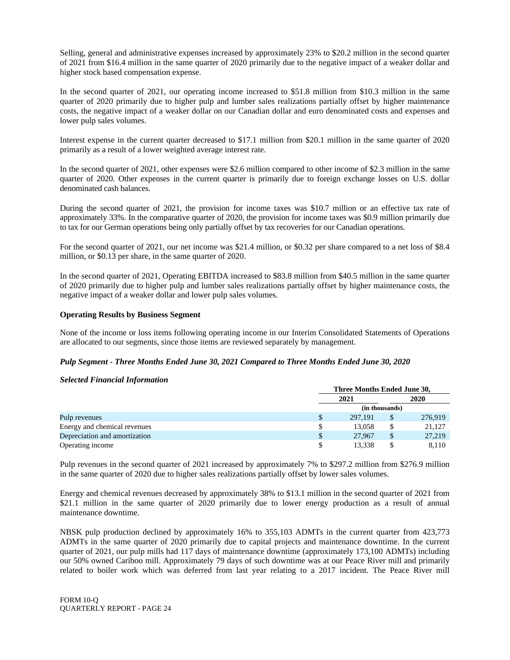Selling, general and administrative expenses increased by approximately 23% to \$20.2 million in the second quarter of 2021 from \$16.4 million in the same quarter of 2020 primarily due to the negative impact of a weaker dollar and higher stock based compensation expense.

In the second quarter of 2021, our operating income increased to \$51.8 million from \$10.3 million in the same quarter of 2020 primarily due to higher pulp and lumber sales realizations partially offset by higher maintenance costs, the negative impact of a weaker dollar on our Canadian dollar and euro denominated costs and expenses and lower pulp sales volumes.

Interest expense in the current quarter decreased to \$17.1 million from \$20.1 million in the same quarter of 2020 primarily as a result of a lower weighted average interest rate.

In the second quarter of 2021, other expenses were \$2.6 million compared to other income of \$2.3 million in the same quarter of 2020. Other expenses in the current quarter is primarily due to foreign exchange losses on U.S. dollar denominated cash balances.

During the second quarter of 2021, the provision for income taxes was \$10.7 million or an effective tax rate of approximately 33%. In the comparative quarter of 2020, the provision for income taxes was \$0.9 million primarily due to tax for our German operations being only partially offset by tax recoveries for our Canadian operations.

For the second quarter of 2021, our net income was \$21.4 million, or \$0.32 per share compared to a net loss of \$8.4 million, or \$0.13 per share, in the same quarter of 2020.

In the second quarter of 2021, Operating EBITDA increased to \$83.8 million from \$40.5 million in the same quarter of 2020 primarily due to higher pulp and lumber sales realizations partially offset by higher maintenance costs, the negative impact of a weaker dollar and lower pulp sales volumes.

## **Operating Results by Business Segment**

None of the income or loss items following operating income in our Interim Consolidated Statements of Operations are allocated to our segments, since those items are reviewed separately by management.

## *Pulp Segment - Three Months Ended June 30, 2021 Compared to Three Months Ended June 30, 2020*

## *Selected Financial Information*

|                               |    | Three Months Ended June 30, |   |         |  |
|-------------------------------|----|-----------------------------|---|---------|--|
|                               |    | 2021                        |   | 2020    |  |
|                               |    | (in thousands)              |   |         |  |
| Pulp revenues                 | S. | 297.191                     | S | 276,919 |  |
| Energy and chemical revenues  |    | 13,058                      | S | 21.127  |  |
| Depreciation and amortization |    | 27,967                      | S | 27,219  |  |
| Operating income              |    | 13.338                      |   | 8,110   |  |

Pulp revenues in the second quarter of 2021 increased by approximately 7% to \$297.2 million from \$276.9 million in the same quarter of 2020 due to higher sales realizations partially offset by lower sales volumes.

Energy and chemical revenues decreased by approximately 38% to \$13.1 million in the second quarter of 2021 from \$21.1 million in the same quarter of 2020 primarily due to lower energy production as a result of annual maintenance downtime.

NBSK pulp production declined by approximately 16% to 355,103 ADMTs in the current quarter from 423,773 ADMTs in the same quarter of 2020 primarily due to capital projects and maintenance downtime. In the current quarter of 2021, our pulp mills had 117 days of maintenance downtime (approximately 173,100 ADMTs) including our 50% owned Cariboo mill. Approximately 79 days of such downtime was at our Peace River mill and primarily related to boiler work which was deferred from last year relating to a 2017 incident. The Peace River mill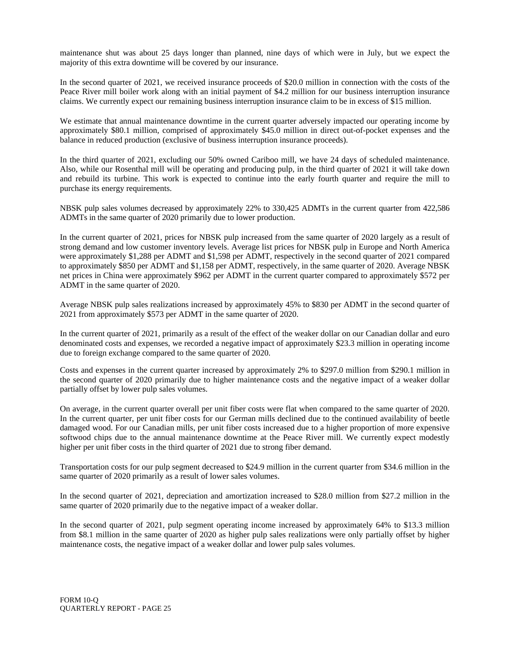maintenance shut was about 25 days longer than planned, nine days of which were in July, but we expect the majority of this extra downtime will be covered by our insurance.

In the second quarter of 2021, we received insurance proceeds of \$20.0 million in connection with the costs of the Peace River mill boiler work along with an initial payment of \$4.2 million for our business interruption insurance claims. We currently expect our remaining business interruption insurance claim to be in excess of \$15 million.

We estimate that annual maintenance downtime in the current quarter adversely impacted our operating income by approximately \$80.1 million, comprised of approximately \$45.0 million in direct out-of-pocket expenses and the balance in reduced production (exclusive of business interruption insurance proceeds).

In the third quarter of 2021, excluding our 50% owned Cariboo mill, we have 24 days of scheduled maintenance. Also, while our Rosenthal mill will be operating and producing pulp, in the third quarter of 2021 it will take down and rebuild its turbine. This work is expected to continue into the early fourth quarter and require the mill to purchase its energy requirements.

NBSK pulp sales volumes decreased by approximately 22% to 330,425 ADMTs in the current quarter from 422,586 ADMTs in the same quarter of 2020 primarily due to lower production.

In the current quarter of 2021, prices for NBSK pulp increased from the same quarter of 2020 largely as a result of strong demand and low customer inventory levels. Average list prices for NBSK pulp in Europe and North America were approximately \$1,288 per ADMT and \$1,598 per ADMT, respectively in the second quarter of 2021 compared to approximately \$850 per ADMT and \$1,158 per ADMT, respectively, in the same quarter of 2020. Average NBSK net prices in China were approximately \$962 per ADMT in the current quarter compared to approximately \$572 per ADMT in the same quarter of 2020.

Average NBSK pulp sales realizations increased by approximately 45% to \$830 per ADMT in the second quarter of 2021 from approximately \$573 per ADMT in the same quarter of 2020.

In the current quarter of 2021, primarily as a result of the effect of the weaker dollar on our Canadian dollar and euro denominated costs and expenses, we recorded a negative impact of approximately \$23.3 million in operating income due to foreign exchange compared to the same quarter of 2020.

Costs and expenses in the current quarter increased by approximately 2% to \$297.0 million from \$290.1 million in the second quarter of 2020 primarily due to higher maintenance costs and the negative impact of a weaker dollar partially offset by lower pulp sales volumes.

On average, in the current quarter overall per unit fiber costs were flat when compared to the same quarter of 2020. In the current quarter, per unit fiber costs for our German mills declined due to the continued availability of beetle damaged wood. For our Canadian mills, per unit fiber costs increased due to a higher proportion of more expensive softwood chips due to the annual maintenance downtime at the Peace River mill. We currently expect modestly higher per unit fiber costs in the third quarter of 2021 due to strong fiber demand.

Transportation costs for our pulp segment decreased to \$24.9 million in the current quarter from \$34.6 million in the same quarter of 2020 primarily as a result of lower sales volumes.

In the second quarter of 2021, depreciation and amortization increased to \$28.0 million from \$27.2 million in the same quarter of 2020 primarily due to the negative impact of a weaker dollar.

In the second quarter of 2021, pulp segment operating income increased by approximately 64% to \$13.3 million from \$8.1 million in the same quarter of 2020 as higher pulp sales realizations were only partially offset by higher maintenance costs, the negative impact of a weaker dollar and lower pulp sales volumes.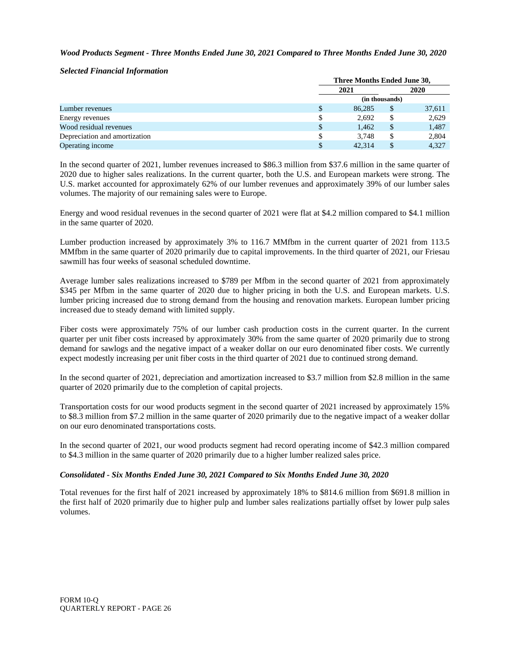## *Wood Products Segment - Three Months Ended June 30, 2021 Compared to Three Months Ended June 30, 2020*

#### *Selected Financial Information*

|                               |    | Three Months Ended June 30, |                |        |  |  |
|-------------------------------|----|-----------------------------|----------------|--------|--|--|
|                               |    | 2021                        |                |        |  |  |
|                               |    |                             | (in thousands) |        |  |  |
| Lumber revenues               | S. | 86,285                      | S              | 37,611 |  |  |
| Energy revenues               | S  | 2.692                       |                | 2,629  |  |  |
| Wood residual revenues        | S  | 1.462                       | S              | 1,487  |  |  |
| Depreciation and amortization |    | 3.748                       |                | 2,804  |  |  |
| Operating income              |    | 42.314                      |                | 4.327  |  |  |

In the second quarter of 2021, lumber revenues increased to \$86.3 million from \$37.6 million in the same quarter of 2020 due to higher sales realizations. In the current quarter, both the U.S. and European markets were strong. The U.S. market accounted for approximately 62% of our lumber revenues and approximately 39% of our lumber sales volumes. The majority of our remaining sales were to Europe.

Energy and wood residual revenues in the second quarter of 2021 were flat at \$4.2 million compared to \$4.1 million in the same quarter of 2020.

Lumber production increased by approximately 3% to 116.7 MMfbm in the current quarter of 2021 from 113.5 MMfbm in the same quarter of 2020 primarily due to capital improvements. In the third quarter of 2021, our Friesau sawmill has four weeks of seasonal scheduled downtime.

Average lumber sales realizations increased to \$789 per Mfbm in the second quarter of 2021 from approximately \$345 per Mfbm in the same quarter of 2020 due to higher pricing in both the U.S. and European markets. U.S. lumber pricing increased due to strong demand from the housing and renovation markets. European lumber pricing increased due to steady demand with limited supply.

Fiber costs were approximately 75% of our lumber cash production costs in the current quarter. In the current quarter per unit fiber costs increased by approximately 30% from the same quarter of 2020 primarily due to strong demand for sawlogs and the negative impact of a weaker dollar on our euro denominated fiber costs. We currently expect modestly increasing per unit fiber costs in the third quarter of 2021 due to continued strong demand.

In the second quarter of 2021, depreciation and amortization increased to \$3.7 million from \$2.8 million in the same quarter of 2020 primarily due to the completion of capital projects.

Transportation costs for our wood products segment in the second quarter of 2021 increased by approximately 15% to \$8.3 million from \$7.2 million in the same quarter of 2020 primarily due to the negative impact of a weaker dollar on our euro denominated transportations costs.

In the second quarter of 2021, our wood products segment had record operating income of \$42.3 million compared to \$4.3 million in the same quarter of 2020 primarily due to a higher lumber realized sales price.

## *Consolidated - Six Months Ended June 30, 2021 Compared to Six Months Ended June 30, 2020*

Total revenues for the first half of 2021 increased by approximately 18% to \$814.6 million from \$691.8 million in the first half of 2020 primarily due to higher pulp and lumber sales realizations partially offset by lower pulp sales volumes.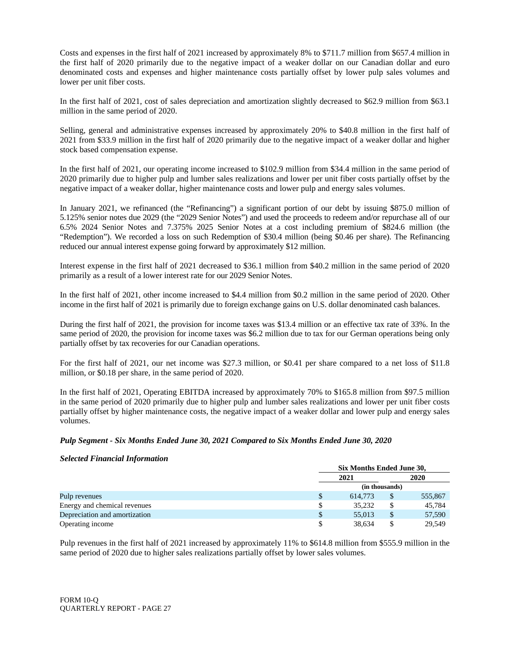Costs and expenses in the first half of 2021 increased by approximately 8% to \$711.7 million from \$657.4 million in the first half of 2020 primarily due to the negative impact of a weaker dollar on our Canadian dollar and euro denominated costs and expenses and higher maintenance costs partially offset by lower pulp sales volumes and lower per unit fiber costs.

In the first half of 2021, cost of sales depreciation and amortization slightly decreased to \$62.9 million from \$63.1 million in the same period of 2020.

Selling, general and administrative expenses increased by approximately 20% to \$40.8 million in the first half of 2021 from \$33.9 million in the first half of 2020 primarily due to the negative impact of a weaker dollar and higher stock based compensation expense.

In the first half of 2021, our operating income increased to \$102.9 million from \$34.4 million in the same period of 2020 primarily due to higher pulp and lumber sales realizations and lower per unit fiber costs partially offset by the negative impact of a weaker dollar, higher maintenance costs and lower pulp and energy sales volumes.

In January 2021, we refinanced (the "Refinancing") a significant portion of our debt by issuing \$875.0 million of 5.125% senior notes due 2029 (the "2029 Senior Notes") and used the proceeds to redeem and/or repurchase all of our 6.5% 2024 Senior Notes and 7.375% 2025 Senior Notes at a cost including premium of \$824.6 million (the "Redemption"). We recorded a loss on such Redemption of \$30.4 million (being \$0.46 per share). The Refinancing reduced our annual interest expense going forward by approximately \$12 million.

Interest expense in the first half of 2021 decreased to \$36.1 million from \$40.2 million in the same period of 2020 primarily as a result of a lower interest rate for our 2029 Senior Notes.

In the first half of 2021, other income increased to \$4.4 million from \$0.2 million in the same period of 2020. Other income in the first half of 2021 is primarily due to foreign exchange gains on U.S. dollar denominated cash balances.

During the first half of 2021, the provision for income taxes was \$13.4 million or an effective tax rate of 33%. In the same period of 2020, the provision for income taxes was \$6.2 million due to tax for our German operations being only partially offset by tax recoveries for our Canadian operations.

For the first half of 2021, our net income was \$27.3 million, or \$0.41 per share compared to a net loss of \$11.8 million, or \$0.18 per share, in the same period of 2020.

In the first half of 2021, Operating EBITDA increased by approximately 70% to \$165.8 million from \$97.5 million in the same period of 2020 primarily due to higher pulp and lumber sales realizations and lower per unit fiber costs partially offset by higher maintenance costs, the negative impact of a weaker dollar and lower pulp and energy sales volumes.

## *Pulp Segment - Six Months Ended June 30, 2021 Compared to Six Months Ended June 30, 2020*

## *Selected Financial Information*

|                               | Six Months Ended June 30, |    |         |  |
|-------------------------------|---------------------------|----|---------|--|
|                               | 2021                      |    | 2020    |  |
|                               | (in thousands)            |    |         |  |
| Pulp revenues                 | \$<br>614,773             | \$ | 555,867 |  |
| Energy and chemical revenues  | 35.232                    |    | 45,784  |  |
| Depreciation and amortization | \$<br>55,013              | \$ | 57,590  |  |
| Operating income              | 38.634                    |    | 29.549  |  |

Pulp revenues in the first half of 2021 increased by approximately 11% to \$614.8 million from \$555.9 million in the same period of 2020 due to higher sales realizations partially offset by lower sales volumes.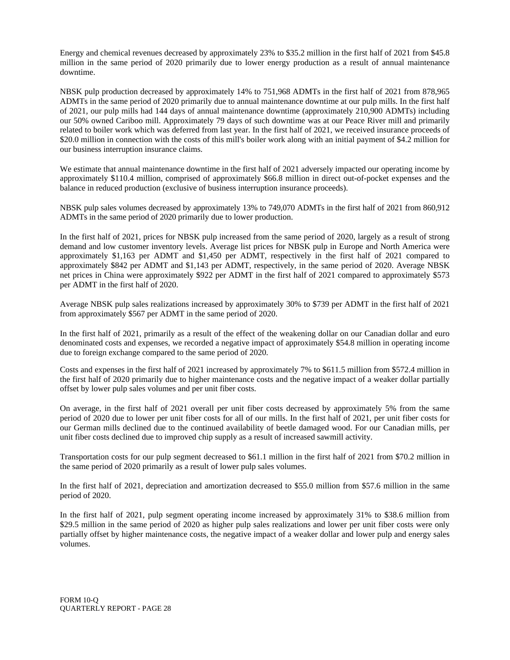Energy and chemical revenues decreased by approximately 23% to \$35.2 million in the first half of 2021 from \$45.8 million in the same period of 2020 primarily due to lower energy production as a result of annual maintenance downtime.

NBSK pulp production decreased by approximately 14% to 751,968 ADMTs in the first half of 2021 from 878,965 ADMTs in the same period of 2020 primarily due to annual maintenance downtime at our pulp mills. In the first half of 2021, our pulp mills had 144 days of annual maintenance downtime (approximately 210,900 ADMTs) including our 50% owned Cariboo mill. Approximately 79 days of such downtime was at our Peace River mill and primarily related to boiler work which was deferred from last year. In the first half of 2021, we received insurance proceeds of \$20.0 million in connection with the costs of this mill's boiler work along with an initial payment of \$4.2 million for our business interruption insurance claims.

We estimate that annual maintenance downtime in the first half of 2021 adversely impacted our operating income by approximately \$110.4 million, comprised of approximately \$66.8 million in direct out-of-pocket expenses and the balance in reduced production (exclusive of business interruption insurance proceeds).

NBSK pulp sales volumes decreased by approximately 13% to 749,070 ADMTs in the first half of 2021 from 860,912 ADMTs in the same period of 2020 primarily due to lower production.

In the first half of 2021, prices for NBSK pulp increased from the same period of 2020, largely as a result of strong demand and low customer inventory levels. Average list prices for NBSK pulp in Europe and North America were approximately \$1,163 per ADMT and \$1,450 per ADMT, respectively in the first half of 2021 compared to approximately \$842 per ADMT and \$1,143 per ADMT, respectively, in the same period of 2020. Average NBSK net prices in China were approximately \$922 per ADMT in the first half of 2021 compared to approximately \$573 per ADMT in the first half of 2020.

Average NBSK pulp sales realizations increased by approximately 30% to \$739 per ADMT in the first half of 2021 from approximately \$567 per ADMT in the same period of 2020.

In the first half of 2021, primarily as a result of the effect of the weakening dollar on our Canadian dollar and euro denominated costs and expenses, we recorded a negative impact of approximately \$54.8 million in operating income due to foreign exchange compared to the same period of 2020.

Costs and expenses in the first half of 2021 increased by approximately 7% to \$611.5 million from \$572.4 million in the first half of 2020 primarily due to higher maintenance costs and the negative impact of a weaker dollar partially offset by lower pulp sales volumes and per unit fiber costs.

On average, in the first half of 2021 overall per unit fiber costs decreased by approximately 5% from the same period of 2020 due to lower per unit fiber costs for all of our mills. In the first half of 2021, per unit fiber costs for our German mills declined due to the continued availability of beetle damaged wood. For our Canadian mills, per unit fiber costs declined due to improved chip supply as a result of increased sawmill activity.

Transportation costs for our pulp segment decreased to \$61.1 million in the first half of 2021 from \$70.2 million in the same period of 2020 primarily as a result of lower pulp sales volumes.

In the first half of 2021, depreciation and amortization decreased to \$55.0 million from \$57.6 million in the same period of 2020.

In the first half of 2021, pulp segment operating income increased by approximately 31% to \$38.6 million from \$29.5 million in the same period of 2020 as higher pulp sales realizations and lower per unit fiber costs were only partially offset by higher maintenance costs, the negative impact of a weaker dollar and lower pulp and energy sales volumes.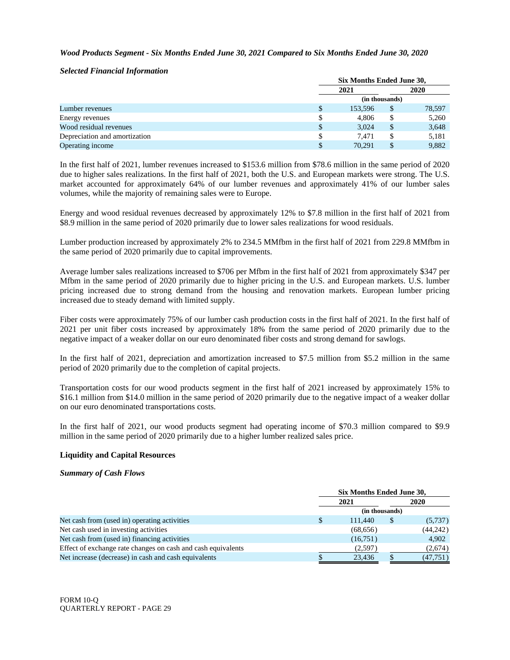## *Wood Products Segment - Six Months Ended June 30, 2021 Compared to Six Months Ended June 30, 2020*

## *Selected Financial Information*

|                               |   | Six Months Ended June 30, |                |        |  |  |
|-------------------------------|---|---------------------------|----------------|--------|--|--|
|                               |   | 2021                      |                | 2020   |  |  |
|                               |   |                           | (in thousands) |        |  |  |
| Lumber revenues               | S | 153,596                   | <sup>\$</sup>  | 78,597 |  |  |
| Energy revenues               | S | 4,806                     | S              | 5,260  |  |  |
| Wood residual revenues        | S | 3.024                     | <sup>\$</sup>  | 3,648  |  |  |
| Depreciation and amortization |   | 7.471                     | S              | 5,181  |  |  |
| Operating income              |   | 70.291                    |                | 9,882  |  |  |

In the first half of 2021, lumber revenues increased to \$153.6 million from \$78.6 million in the same period of 2020 due to higher sales realizations. In the first half of 2021, both the U.S. and European markets were strong. The U.S. market accounted for approximately 64% of our lumber revenues and approximately 41% of our lumber sales volumes, while the majority of remaining sales were to Europe.

Energy and wood residual revenues decreased by approximately 12% to \$7.8 million in the first half of 2021 from \$8.9 million in the same period of 2020 primarily due to lower sales realizations for wood residuals.

Lumber production increased by approximately 2% to 234.5 MMfbm in the first half of 2021 from 229.8 MMfbm in the same period of 2020 primarily due to capital improvements.

Average lumber sales realizations increased to \$706 per Mfbm in the first half of 2021 from approximately \$347 per Mfbm in the same period of 2020 primarily due to higher pricing in the U.S. and European markets. U.S. lumber pricing increased due to strong demand from the housing and renovation markets. European lumber pricing increased due to steady demand with limited supply.

Fiber costs were approximately 75% of our lumber cash production costs in the first half of 2021. In the first half of 2021 per unit fiber costs increased by approximately 18% from the same period of 2020 primarily due to the negative impact of a weaker dollar on our euro denominated fiber costs and strong demand for sawlogs.

In the first half of 2021, depreciation and amortization increased to \$7.5 million from \$5.2 million in the same period of 2020 primarily due to the completion of capital projects.

Transportation costs for our wood products segment in the first half of 2021 increased by approximately 15% to \$16.1 million from \$14.0 million in the same period of 2020 primarily due to the negative impact of a weaker dollar on our euro denominated transportations costs.

In the first half of 2021, our wood products segment had operating income of \$70.3 million compared to \$9.9 million in the same period of 2020 primarily due to a higher lumber realized sales price.

## **Liquidity and Capital Resources**

#### *Summary of Cash Flows*

|                                                              | Six Months Ended June 30, |  |           |  |
|--------------------------------------------------------------|---------------------------|--|-----------|--|
|                                                              | 2021                      |  | 2020      |  |
|                                                              | (in thousands)            |  |           |  |
| Net cash from (used in) operating activities                 | \$<br>111.440             |  | (5,737)   |  |
| Net cash used in investing activities                        | (68, 656)                 |  | (44, 242) |  |
| Net cash from (used in) financing activities                 | (16,751)                  |  | 4,902     |  |
| Effect of exchange rate changes on cash and cash equivalents | (2,597)                   |  | (2,674)   |  |
| Net increase (decrease) in cash and cash equivalents         | 23.436                    |  | (47,751)  |  |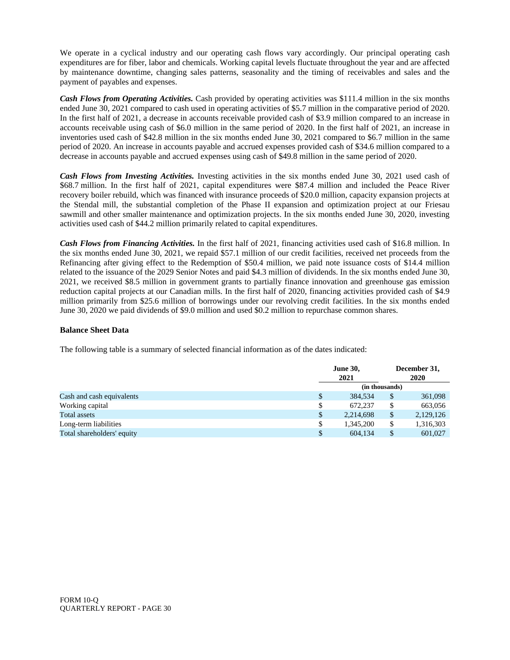We operate in a cyclical industry and our operating cash flows vary accordingly. Our principal operating cash expenditures are for fiber, labor and chemicals. Working capital levels fluctuate throughout the year and are affected by maintenance downtime, changing sales patterns, seasonality and the timing of receivables and sales and the payment of payables and expenses.

*Cash Flows from Operating Activities.* Cash provided by operating activities was \$111.4 million in the six months ended June 30, 2021 compared to cash used in operating activities of \$5.7 million in the comparative period of 2020. In the first half of 2021, a decrease in accounts receivable provided cash of \$3.9 million compared to an increase in accounts receivable using cash of \$6.0 million in the same period of 2020. In the first half of 2021, an increase in inventories used cash of \$42.8 million in the six months ended June 30, 2021 compared to \$6.7 million in the same period of 2020. An increase in accounts payable and accrued expenses provided cash of \$34.6 million compared to a decrease in accounts payable and accrued expenses using cash of \$49.8 million in the same period of 2020.

*Cash Flows from Investing Activities.* Investing activities in the six months ended June 30, 2021 used cash of \$68.7 million. In the first half of 2021, capital expenditures were \$87.4 million and included the Peace River recovery boiler rebuild, which was financed with insurance proceeds of \$20.0 million, capacity expansion projects at the Stendal mill, the substantial completion of the Phase II expansion and optimization project at our Friesau sawmill and other smaller maintenance and optimization projects. In the six months ended June 30, 2020, investing activities used cash of \$44.2 million primarily related to capital expenditures.

*Cash Flows from Financing Activities.* In the first half of 2021, financing activities used cash of \$16.8 million. In the six months ended June 30, 2021, we repaid \$57.1 million of our credit facilities, received net proceeds from the Refinancing after giving effect to the Redemption of \$50.4 million, we paid note issuance costs of \$14.4 million related to the issuance of the 2029 Senior Notes and paid \$4.3 million of dividends. In the six months ended June 30, 2021, we received \$8.5 million in government grants to partially finance innovation and greenhouse gas emission reduction capital projects at our Canadian mills. In the first half of 2020, financing activities provided cash of \$4.9 million primarily from \$25.6 million of borrowings under our revolving credit facilities. In the six months ended June 30, 2020 we paid dividends of \$9.0 million and used \$0.2 million to repurchase common shares.

## **Balance Sheet Data**

The following table is a summary of selected financial information as of the dates indicated:

|                            |              | <b>June 30,</b><br>2021 |    | December 31,<br>2020 |  |
|----------------------------|--------------|-------------------------|----|----------------------|--|
|                            |              | (in thousands)          |    |                      |  |
| Cash and cash equivalents  | \$           | 384,534                 | \$ | 361,098              |  |
| Working capital            | \$           | 672.237                 | \$ | 663,056              |  |
| Total assets               | \$           | 2,214,698               | \$ | 2,129,126            |  |
| Long-term liabilities      | \$           | 1,345,200               | \$ | 1,316,303            |  |
| Total shareholders' equity | $\mathbb{S}$ | 604,134                 | \$ | 601.027              |  |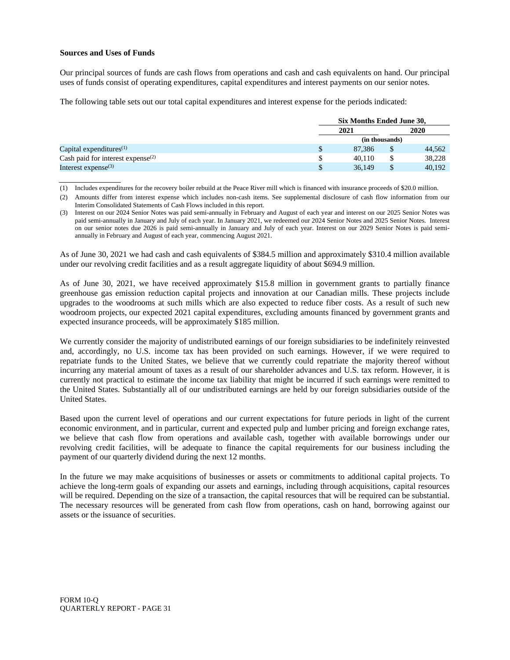## **Sources and Uses of Funds**

Our principal sources of funds are cash flows from operations and cash and cash equivalents on hand. Our principal uses of funds consist of operating expenditures, capital expenditures and interest payments on our senior notes.

The following table sets out our total capital expenditures and interest expense for the periods indicated:

|                                               | Six Months Ended June 30, |      |        |  |
|-----------------------------------------------|---------------------------|------|--------|--|
|                                               | 2021                      | 2020 |        |  |
|                                               | (in thousands)            |      |        |  |
| Capital expenditures $(1)$                    | 87.386                    | S    | 44.562 |  |
| Cash paid for interest expense <sup>(2)</sup> | 40.110                    |      | 38,228 |  |
| Interest expense $(3)$                        | 36.149                    | \$   | 40,192 |  |

(1) Includes expenditures for the recovery boiler rebuild at the Peace River mill which is financed with insurance proceeds of \$20.0 million.

(2) Amounts differ from interest expense which includes non-cash items. See supplemental disclosure of cash flow information from our Interim Consolidated Statements of Cash Flows included in this report.

As of June 30, 2021 we had cash and cash equivalents of \$384.5 million and approximately \$310.4 million available under our revolving credit facilities and as a result aggregate liquidity of about \$694.9 million.

As of June 30, 2021, we have received approximately \$15.8 million in government grants to partially finance greenhouse gas emission reduction capital projects and innovation at our Canadian mills. These projects include upgrades to the woodrooms at such mills which are also expected to reduce fiber costs. As a result of such new woodroom projects, our expected 2021 capital expenditures, excluding amounts financed by government grants and expected insurance proceeds, will be approximately \$185 million.

We currently consider the majority of undistributed earnings of our foreign subsidiaries to be indefinitely reinvested and, accordingly, no U.S. income tax has been provided on such earnings. However, if we were required to repatriate funds to the United States, we believe that we currently could repatriate the majority thereof without incurring any material amount of taxes as a result of our shareholder advances and U.S. tax reform. However, it is currently not practical to estimate the income tax liability that might be incurred if such earnings were remitted to the United States. Substantially all of our undistributed earnings are held by our foreign subsidiaries outside of the United States.

Based upon the current level of operations and our current expectations for future periods in light of the current economic environment, and in particular, current and expected pulp and lumber pricing and foreign exchange rates, we believe that cash flow from operations and available cash, together with available borrowings under our revolving credit facilities, will be adequate to finance the capital requirements for our business including the payment of our quarterly dividend during the next 12 months.

In the future we may make acquisitions of businesses or assets or commitments to additional capital projects. To achieve the long-term goals of expanding our assets and earnings, including through acquisitions, capital resources will be required. Depending on the size of a transaction, the capital resources that will be required can be substantial. The necessary resources will be generated from cash flow from operations, cash on hand, borrowing against our assets or the issuance of securities.

<sup>(3)</sup> Interest on our 2024 Senior Notes was paid semi-annually in February and August of each year and interest on our 2025 Senior Notes was paid semi-annually in January and July of each year. In January 2021, we redeemed our 2024 Senior Notes and 2025 Senior Notes. Interest on our senior notes due 2026 is paid semi-annually in January and July of each year. Interest on our 2029 Senior Notes is paid semiannually in February and August of each year, commencing August 2021.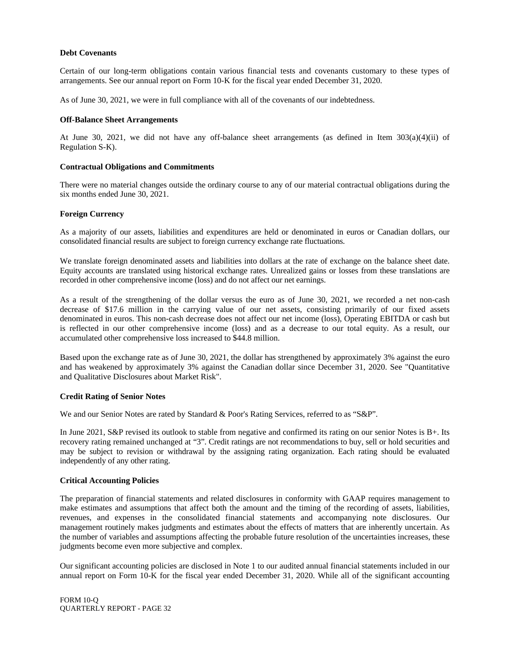## **Debt Covenants**

Certain of our long-term obligations contain various financial tests and covenants customary to these types of arrangements. See our annual report on Form 10-K for the fiscal year ended December 31, 2020.

As of June 30, 2021, we were in full compliance with all of the covenants of our indebtedness.

#### **Off-Balance Sheet Arrangements**

At June 30, 2021, we did not have any off-balance sheet arrangements (as defined in Item 303(a)(4)(ii) of Regulation S-K).

#### **Contractual Obligations and Commitments**

There were no material changes outside the ordinary course to any of our material contractual obligations during the six months ended June 30, 2021.

#### **Foreign Currency**

As a majority of our assets, liabilities and expenditures are held or denominated in euros or Canadian dollars, our consolidated financial results are subject to foreign currency exchange rate fluctuations.

We translate foreign denominated assets and liabilities into dollars at the rate of exchange on the balance sheet date. Equity accounts are translated using historical exchange rates. Unrealized gains or losses from these translations are recorded in other comprehensive income (loss) and do not affect our net earnings.

As a result of the strengthening of the dollar versus the euro as of June 30, 2021, we recorded a net non-cash decrease of \$17.6 million in the carrying value of our net assets, consisting primarily of our fixed assets denominated in euros. This non-cash decrease does not affect our net income (loss), Operating EBITDA or cash but is reflected in our other comprehensive income (loss) and as a decrease to our total equity. As a result, our accumulated other comprehensive loss increased to \$44.8 million.

Based upon the exchange rate as of June 30, 2021, the dollar has strengthened by approximately 3% against the euro and has weakened by approximately 3% against the Canadian dollar since December 31, 2020. See "Quantitative and Qualitative Disclosures about Market Risk".

## **Credit Rating of Senior Notes**

We and our Senior Notes are rated by Standard & Poor's Rating Services, referred to as "S&P".

In June 2021, S&P revised its outlook to stable from negative and confirmed its rating on our senior Notes is B+. Its recovery rating remained unchanged at "3". Credit ratings are not recommendations to buy, sell or hold securities and may be subject to revision or withdrawal by the assigning rating organization. Each rating should be evaluated independently of any other rating.

## **Critical Accounting Policies**

The preparation of financial statements and related disclosures in conformity with GAAP requires management to make estimates and assumptions that affect both the amount and the timing of the recording of assets, liabilities, revenues, and expenses in the consolidated financial statements and accompanying note disclosures. Our management routinely makes judgments and estimates about the effects of matters that are inherently uncertain. As the number of variables and assumptions affecting the probable future resolution of the uncertainties increases, these judgments become even more subjective and complex.

Our significant accounting policies are disclosed in Note 1 to our audited annual financial statements included in our annual report on Form 10-K for the fiscal year ended December 31, 2020. While all of the significant accounting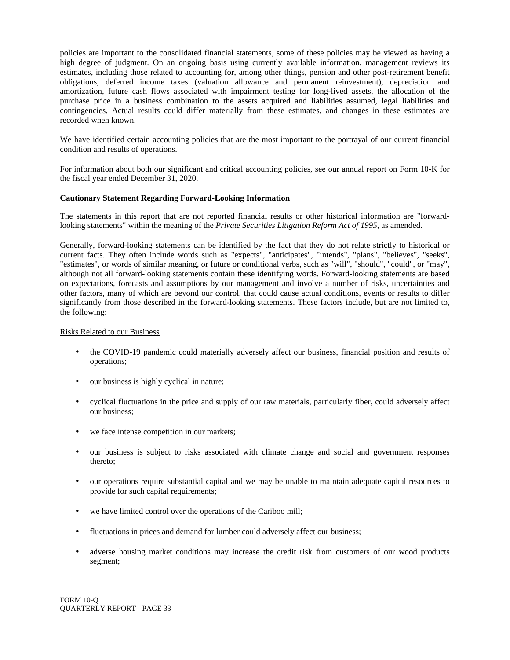policies are important to the consolidated financial statements, some of these policies may be viewed as having a high degree of judgment. On an ongoing basis using currently available information, management reviews its estimates, including those related to accounting for, among other things, pension and other post-retirement benefit obligations, deferred income taxes (valuation allowance and permanent reinvestment), depreciation and amortization, future cash flows associated with impairment testing for long-lived assets, the allocation of the purchase price in a business combination to the assets acquired and liabilities assumed, legal liabilities and contingencies. Actual results could differ materially from these estimates, and changes in these estimates are recorded when known.

We have identified certain accounting policies that are the most important to the portrayal of our current financial condition and results of operations.

For information about both our significant and critical accounting policies, see our annual report on Form 10-K for the fiscal year ended December 31, 2020.

## **Cautionary Statement Regarding Forward-Looking Information**

The statements in this report that are not reported financial results or other historical information are "forwardlooking statements" within the meaning of the *Private Securities Litigation Reform Act of 1995*, as amended.

Generally, forward-looking statements can be identified by the fact that they do not relate strictly to historical or current facts. They often include words such as "expects", "anticipates", "intends", "plans", "believes", "seeks", "estimates", or words of similar meaning, or future or conditional verbs, such as "will", "should", "could", or "may", although not all forward-looking statements contain these identifying words. Forward-looking statements are based on expectations, forecasts and assumptions by our management and involve a number of risks, uncertainties and other factors, many of which are beyond our control, that could cause actual conditions, events or results to differ significantly from those described in the forward-looking statements. These factors include, but are not limited to, the following:

## Risks Related to our Business

- the COVID-19 pandemic could materially adversely affect our business, financial position and results of operations;
- our business is highly cyclical in nature;
- cyclical fluctuations in the price and supply of our raw materials, particularly fiber, could adversely affect our business;
- we face intense competition in our markets;
- our business is subject to risks associated with climate change and social and government responses thereto;
- our operations require substantial capital and we may be unable to maintain adequate capital resources to provide for such capital requirements;
- we have limited control over the operations of the Cariboo mill;
- fluctuations in prices and demand for lumber could adversely affect our business;
- adverse housing market conditions may increase the credit risk from customers of our wood products segment;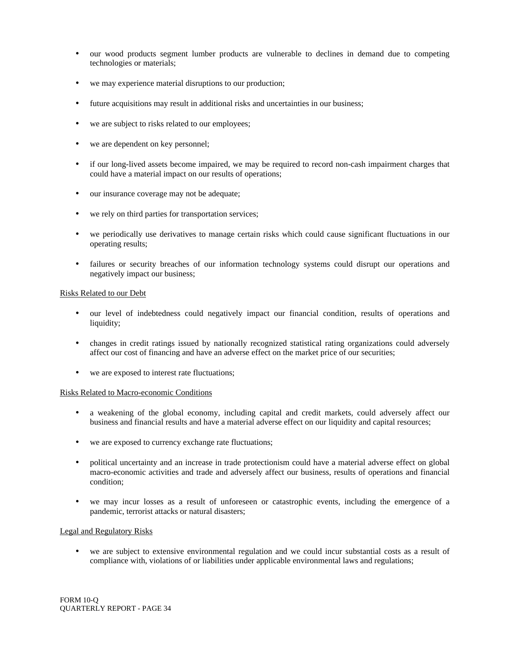- our wood products segment lumber products are vulnerable to declines in demand due to competing technologies or materials;
- we may experience material disruptions to our production;
- future acquisitions may result in additional risks and uncertainties in our business;
- we are subject to risks related to our employees;
- we are dependent on key personnel;
- if our long-lived assets become impaired, we may be required to record non-cash impairment charges that could have a material impact on our results of operations;
- our insurance coverage may not be adequate;
- we rely on third parties for transportation services;
- we periodically use derivatives to manage certain risks which could cause significant fluctuations in our operating results;
- failures or security breaches of our information technology systems could disrupt our operations and negatively impact our business;

## Risks Related to our Debt

- our level of indebtedness could negatively impact our financial condition, results of operations and liquidity;
- changes in credit ratings issued by nationally recognized statistical rating organizations could adversely affect our cost of financing and have an adverse effect on the market price of our securities;
- we are exposed to interest rate fluctuations;

## Risks Related to Macro-economic Conditions

- a weakening of the global economy, including capital and credit markets, could adversely affect our business and financial results and have a material adverse effect on our liquidity and capital resources;
- we are exposed to currency exchange rate fluctuations;
- political uncertainty and an increase in trade protectionism could have a material adverse effect on global macro-economic activities and trade and adversely affect our business, results of operations and financial condition;
- we may incur losses as a result of unforeseen or catastrophic events, including the emergence of a pandemic, terrorist attacks or natural disasters;

## Legal and Regulatory Risks

• we are subject to extensive environmental regulation and we could incur substantial costs as a result of compliance with, violations of or liabilities under applicable environmental laws and regulations;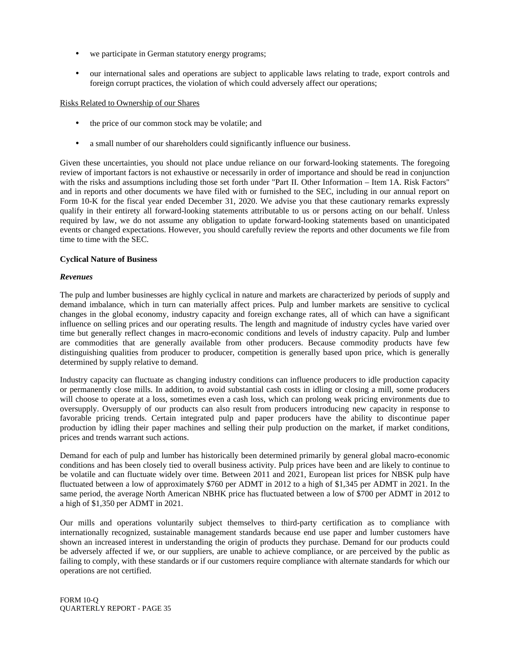- we participate in German statutory energy programs;
- our international sales and operations are subject to applicable laws relating to trade, export controls and foreign corrupt practices, the violation of which could adversely affect our operations;

## Risks Related to Ownership of our Shares

- the price of our common stock may be volatile; and
- a small number of our shareholders could significantly influence our business.

Given these uncertainties, you should not place undue reliance on our forward-looking statements. The foregoing review of important factors is not exhaustive or necessarily in order of importance and should be read in conjunction with the risks and assumptions including those set forth under "Part II. Other Information – Item 1A. Risk Factors" and in reports and other documents we have filed with or furnished to the SEC, including in our annual report on Form 10-K for the fiscal year ended December 31, 2020. We advise you that these cautionary remarks expressly qualify in their entirety all forward-looking statements attributable to us or persons acting on our behalf. Unless required by law, we do not assume any obligation to update forward-looking statements based on unanticipated events or changed expectations. However, you should carefully review the reports and other documents we file from time to time with the SEC.

## **Cyclical Nature of Business**

## *Revenues*

The pulp and lumber businesses are highly cyclical in nature and markets are characterized by periods of supply and demand imbalance, which in turn can materially affect prices. Pulp and lumber markets are sensitive to cyclical changes in the global economy, industry capacity and foreign exchange rates, all of which can have a significant influence on selling prices and our operating results. The length and magnitude of industry cycles have varied over time but generally reflect changes in macro-economic conditions and levels of industry capacity. Pulp and lumber are commodities that are generally available from other producers. Because commodity products have few distinguishing qualities from producer to producer, competition is generally based upon price, which is generally determined by supply relative to demand.

Industry capacity can fluctuate as changing industry conditions can influence producers to idle production capacity or permanently close mills. In addition, to avoid substantial cash costs in idling or closing a mill, some producers will choose to operate at a loss, sometimes even a cash loss, which can prolong weak pricing environments due to oversupply. Oversupply of our products can also result from producers introducing new capacity in response to favorable pricing trends. Certain integrated pulp and paper producers have the ability to discontinue paper production by idling their paper machines and selling their pulp production on the market, if market conditions, prices and trends warrant such actions.

Demand for each of pulp and lumber has historically been determined primarily by general global macro-economic conditions and has been closely tied to overall business activity. Pulp prices have been and are likely to continue to be volatile and can fluctuate widely over time. Between 2011 and 2021, European list prices for NBSK pulp have fluctuated between a low of approximately \$760 per ADMT in 2012 to a high of \$1,345 per ADMT in 2021. In the same period, the average North American NBHK price has fluctuated between a low of \$700 per ADMT in 2012 to a high of \$1,350 per ADMT in 2021.

Our mills and operations voluntarily subject themselves to third-party certification as to compliance with internationally recognized, sustainable management standards because end use paper and lumber customers have shown an increased interest in understanding the origin of products they purchase. Demand for our products could be adversely affected if we, or our suppliers, are unable to achieve compliance, or are perceived by the public as failing to comply, with these standards or if our customers require compliance with alternate standards for which our operations are not certified.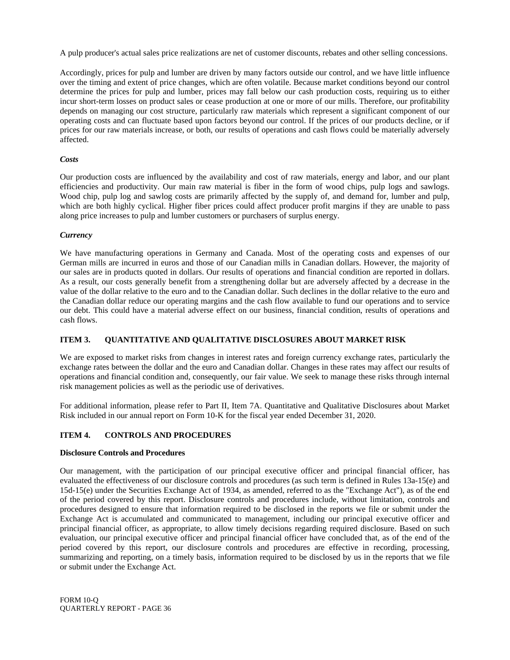A pulp producer's actual sales price realizations are net of customer discounts, rebates and other selling concessions.

Accordingly, prices for pulp and lumber are driven by many factors outside our control, and we have little influence over the timing and extent of price changes, which are often volatile. Because market conditions beyond our control determine the prices for pulp and lumber, prices may fall below our cash production costs, requiring us to either incur short-term losses on product sales or cease production at one or more of our mills. Therefore, our profitability depends on managing our cost structure, particularly raw materials which represent a significant component of our operating costs and can fluctuate based upon factors beyond our control. If the prices of our products decline, or if prices for our raw materials increase, or both, our results of operations and cash flows could be materially adversely affected.

## *Costs*

Our production costs are influenced by the availability and cost of raw materials, energy and labor, and our plant efficiencies and productivity. Our main raw material is fiber in the form of wood chips, pulp logs and sawlogs. Wood chip, pulp log and sawlog costs are primarily affected by the supply of, and demand for, lumber and pulp, which are both highly cyclical. Higher fiber prices could affect producer profit margins if they are unable to pass along price increases to pulp and lumber customers or purchasers of surplus energy.

## *Currency*

We have manufacturing operations in Germany and Canada. Most of the operating costs and expenses of our German mills are incurred in euros and those of our Canadian mills in Canadian dollars. However, the majority of our sales are in products quoted in dollars. Our results of operations and financial condition are reported in dollars. As a result, our costs generally benefit from a strengthening dollar but are adversely affected by a decrease in the value of the dollar relative to the euro and to the Canadian dollar. Such declines in the dollar relative to the euro and the Canadian dollar reduce our operating margins and the cash flow available to fund our operations and to service our debt. This could have a material adverse effect on our business, financial condition, results of operations and cash flows.

## **ITEM 3. QUANTITATIVE AND QUALITATIVE DISCLOSURES ABOUT MARKET RISK**

We are exposed to market risks from changes in interest rates and foreign currency exchange rates, particularly the exchange rates between the dollar and the euro and Canadian dollar. Changes in these rates may affect our results of operations and financial condition and, consequently, our fair value. We seek to manage these risks through internal risk management policies as well as the periodic use of derivatives.

For additional information, please refer to Part II, Item 7A. Quantitative and Qualitative Disclosures about Market Risk included in our annual report on Form 10-K for the fiscal year ended December 31, 2020.

## **ITEM 4. CONTROLS AND PROCEDURES**

## **Disclosure Controls and Procedures**

Our management, with the participation of our principal executive officer and principal financial officer, has evaluated the effectiveness of our disclosure controls and procedures (as such term is defined in Rules 13a-15(e) and 15d-15(e) under the Securities Exchange Act of 1934, as amended, referred to as the "Exchange Act"), as of the end of the period covered by this report. Disclosure controls and procedures include, without limitation, controls and procedures designed to ensure that information required to be disclosed in the reports we file or submit under the Exchange Act is accumulated and communicated to management, including our principal executive officer and principal financial officer, as appropriate, to allow timely decisions regarding required disclosure. Based on such evaluation, our principal executive officer and principal financial officer have concluded that, as of the end of the period covered by this report, our disclosure controls and procedures are effective in recording, processing, summarizing and reporting, on a timely basis, information required to be disclosed by us in the reports that we file or submit under the Exchange Act.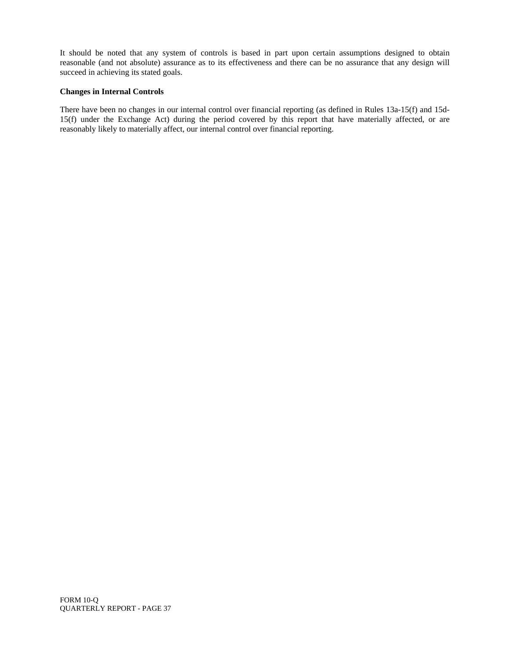It should be noted that any system of controls is based in part upon certain assumptions designed to obtain reasonable (and not absolute) assurance as to its effectiveness and there can be no assurance that any design will succeed in achieving its stated goals.

## **Changes in Internal Controls**

There have been no changes in our internal control over financial reporting (as defined in Rules 13a-15(f) and 15d-15(f) under the Exchange Act) during the period covered by this report that have materially affected, or are reasonably likely to materially affect, our internal control over financial reporting.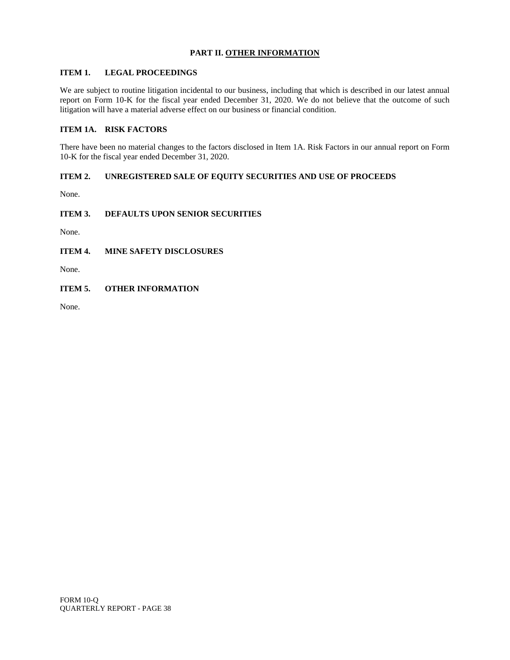## **PART II. OTHER INFORMATION**

## **ITEM 1. LEGAL PROCEEDINGS**

We are subject to routine litigation incidental to our business, including that which is described in our latest annual report on Form 10-K for the fiscal year ended December 31, 2020. We do not believe that the outcome of such litigation will have a material adverse effect on our business or financial condition.

## **ITEM 1A. RISK FACTORS**

There have been no material changes to the factors disclosed in Item 1A. Risk Factors in our annual report on Form 10-K for the fiscal year ended December 31, 2020.

## **ITEM 2. UNREGISTERED SALE OF EQUITY SECURITIES AND USE OF PROCEEDS**

None.

## **ITEM 3. DEFAULTS UPON SENIOR SECURITIES**

None.

## **ITEM 4. MINE SAFETY DISCLOSURES**

None.

## **ITEM 5. OTHER INFORMATION**

None.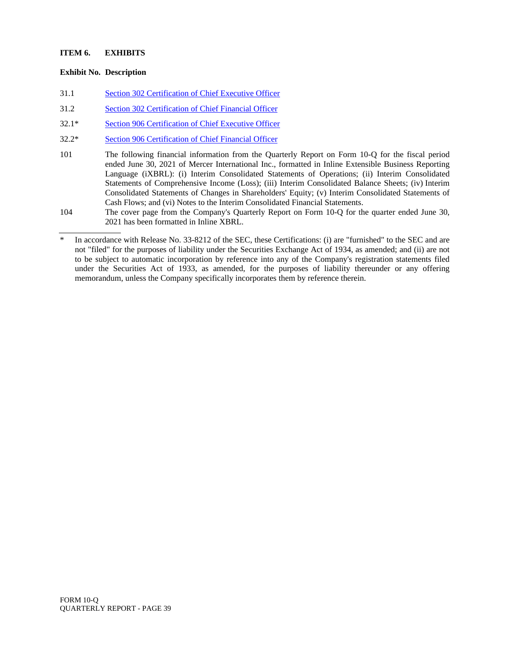## **ITEM 6. EXHIBITS**

## **Exhibit No. Description**

- 31.1 [Section 302 Certification of Chief Executive Officer](merc-ex311_7.htm)
- 31.2 [Section 302 Certification of Chief Financial Officer](merc-ex312_6.htm)
- 32.1\* [Section 906 Certification of Chief Executive Officer](merc-ex321_9.htm)
- 32.2\* [Section 906 Certification of Chief Financial Officer](merc-ex322_8.htm)
- 101 The following financial information from the Quarterly Report on Form 10-Q for the fiscal period ended June 30, 2021 of Mercer International Inc., formatted in Inline Extensible Business Reporting Language (iXBRL): (i) Interim Consolidated Statements of Operations; (ii) Interim Consolidated Statements of Comprehensive Income (Loss); (iii) Interim Consolidated Balance Sheets; (iv) Interim Consolidated Statements of Changes in Shareholders' Equity; (v) Interim Consolidated Statements of Cash Flows; and (vi) Notes to the Interim Consolidated Financial Statements.
- 104 The cover page from the Company's Quarterly Report on Form 10-Q for the quarter ended June 30, 2021 has been formatted in Inline XBRL.

<sup>\*</sup> In accordance with Release No. 33-8212 of the SEC, these Certifications: (i) are "furnished" to the SEC and are not "filed" for the purposes of liability under the Securities Exchange Act of 1934, as amended; and (ii) are not to be subject to automatic incorporation by reference into any of the Company's registration statements filed under the Securities Act of 1933, as amended, for the purposes of liability thereunder or any offering memorandum, unless the Company specifically incorporates them by reference therein.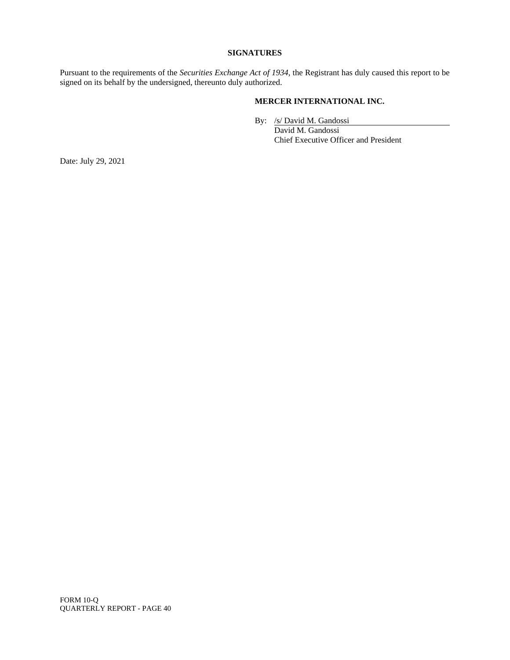## **SIGNATURES**

Pursuant to the requirements of the *Securities Exchange Act of 1934*, the Registrant has duly caused this report to be signed on its behalf by the undersigned, thereunto duly authorized.

## **MERCER INTERNATIONAL INC.**

By: /s/ David M. Gandossi

David M. Gandossi Chief Executive Officer and President

Date: July 29, 2021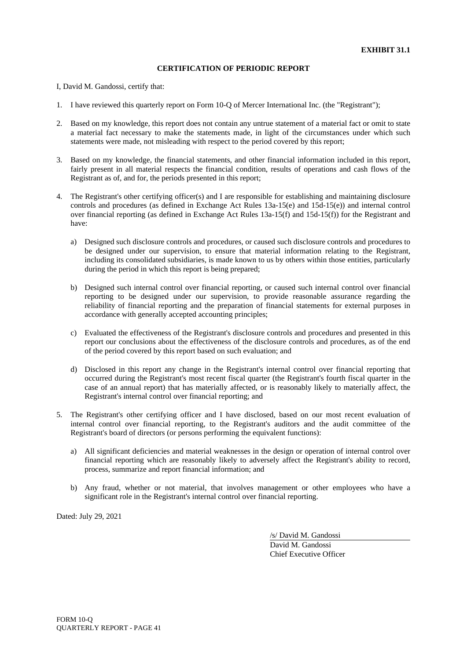I, David M. Gandossi, certify that:

- 1. I have reviewed this quarterly report on Form 10-Q of Mercer International Inc. (the "Registrant");
- 2. Based on my knowledge, this report does not contain any untrue statement of a material fact or omit to state a material fact necessary to make the statements made, in light of the circumstances under which such statements were made, not misleading with respect to the period covered by this report;
- 3. Based on my knowledge, the financial statements, and other financial information included in this report, fairly present in all material respects the financial condition, results of operations and cash flows of the Registrant as of, and for, the periods presented in this report;
- 4. The Registrant's other certifying officer(s) and I are responsible for establishing and maintaining disclosure controls and procedures (as defined in Exchange Act Rules 13a-15(e) and 15d-15(e)) and internal control over financial reporting (as defined in Exchange Act Rules 13a-15(f) and 15d-15(f)) for the Registrant and have:
	- a) Designed such disclosure controls and procedures, or caused such disclosure controls and procedures to be designed under our supervision, to ensure that material information relating to the Registrant, including its consolidated subsidiaries, is made known to us by others within those entities, particularly during the period in which this report is being prepared;
	- b) Designed such internal control over financial reporting, or caused such internal control over financial reporting to be designed under our supervision, to provide reasonable assurance regarding the reliability of financial reporting and the preparation of financial statements for external purposes in accordance with generally accepted accounting principles;
	- c) Evaluated the effectiveness of the Registrant's disclosure controls and procedures and presented in this report our conclusions about the effectiveness of the disclosure controls and procedures, as of the end of the period covered by this report based on such evaluation; and
	- d) Disclosed in this report any change in the Registrant's internal control over financial reporting that occurred during the Registrant's most recent fiscal quarter (the Registrant's fourth fiscal quarter in the case of an annual report) that has materially affected, or is reasonably likely to materially affect, the Registrant's internal control over financial reporting; and
- 5. The Registrant's other certifying officer and I have disclosed, based on our most recent evaluation of internal control over financial reporting, to the Registrant's auditors and the audit committee of the Registrant's board of directors (or persons performing the equivalent functions):
	- a) All significant deficiencies and material weaknesses in the design or operation of internal control over financial reporting which are reasonably likely to adversely affect the Registrant's ability to record, process, summarize and report financial information; and
	- b) Any fraud, whether or not material, that involves management or other employees who have a significant role in the Registrant's internal control over financial reporting.

Dated: July 29, 2021

/s/ David M. Gandossi

David M. Gandossi Chief Executive Officer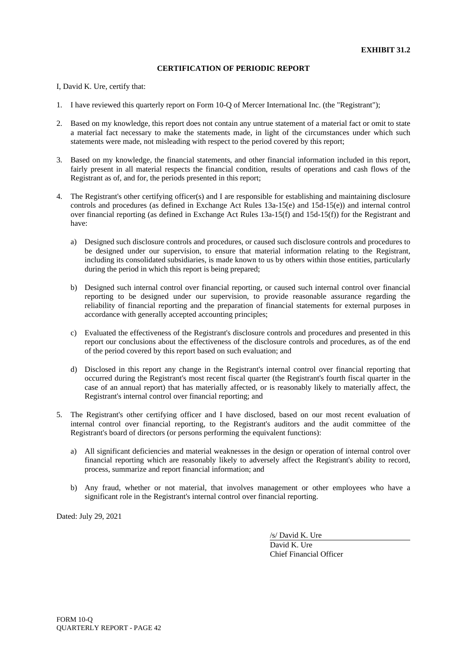I, David K. Ure, certify that:

- 1. I have reviewed this quarterly report on Form 10-Q of Mercer International Inc. (the "Registrant");
- 2. Based on my knowledge, this report does not contain any untrue statement of a material fact or omit to state a material fact necessary to make the statements made, in light of the circumstances under which such statements were made, not misleading with respect to the period covered by this report;
- 3. Based on my knowledge, the financial statements, and other financial information included in this report, fairly present in all material respects the financial condition, results of operations and cash flows of the Registrant as of, and for, the periods presented in this report;
- 4. The Registrant's other certifying officer(s) and I are responsible for establishing and maintaining disclosure controls and procedures (as defined in Exchange Act Rules 13a-15(e) and 15d-15(e)) and internal control over financial reporting (as defined in Exchange Act Rules 13a-15(f) and 15d-15(f)) for the Registrant and have:
	- a) Designed such disclosure controls and procedures, or caused such disclosure controls and procedures to be designed under our supervision, to ensure that material information relating to the Registrant, including its consolidated subsidiaries, is made known to us by others within those entities, particularly during the period in which this report is being prepared;
	- b) Designed such internal control over financial reporting, or caused such internal control over financial reporting to be designed under our supervision, to provide reasonable assurance regarding the reliability of financial reporting and the preparation of financial statements for external purposes in accordance with generally accepted accounting principles;
	- c) Evaluated the effectiveness of the Registrant's disclosure controls and procedures and presented in this report our conclusions about the effectiveness of the disclosure controls and procedures, as of the end of the period covered by this report based on such evaluation; and
	- d) Disclosed in this report any change in the Registrant's internal control over financial reporting that occurred during the Registrant's most recent fiscal quarter (the Registrant's fourth fiscal quarter in the case of an annual report) that has materially affected, or is reasonably likely to materially affect, the Registrant's internal control over financial reporting; and
- 5. The Registrant's other certifying officer and I have disclosed, based on our most recent evaluation of internal control over financial reporting, to the Registrant's auditors and the audit committee of the Registrant's board of directors (or persons performing the equivalent functions):
	- a) All significant deficiencies and material weaknesses in the design or operation of internal control over financial reporting which are reasonably likely to adversely affect the Registrant's ability to record, process, summarize and report financial information; and
	- b) Any fraud, whether or not material, that involves management or other employees who have a significant role in the Registrant's internal control over financial reporting.

Dated: July 29, 2021

/s/ David K. Ure

David K. Ure Chief Financial Officer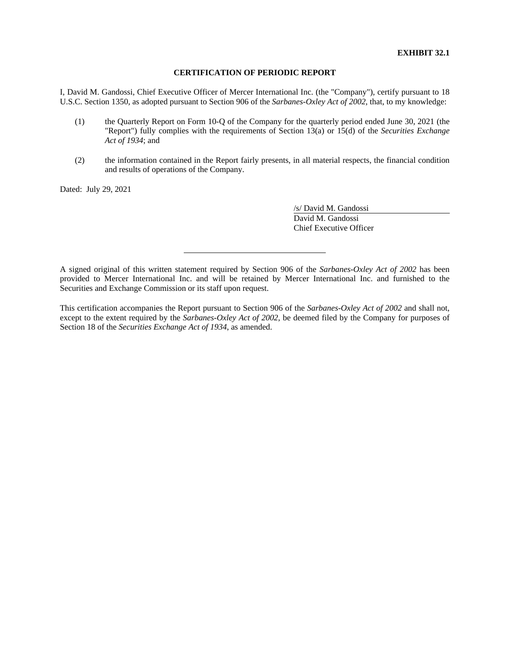I, David M. Gandossi, Chief Executive Officer of Mercer International Inc. (the "Company"), certify pursuant to 18 U.S.C. Section 1350, as adopted pursuant to Section 906 of the *Sarbanes-Oxley Act of 2002*, that, to my knowledge:

- (1) the Quarterly Report on Form 10-Q of the Company for the quarterly period ended June 30, 2021 (the "Report") fully complies with the requirements of Section 13(a) or 15(d) of the *Securities Exchange Act of 1934*; and
- (2) the information contained in the Report fairly presents, in all material respects, the financial condition and results of operations of the Company.

Dated: July 29, 2021

/s/ David M. Gandossi David M. Gandossi Chief Executive Officer

A signed original of this written statement required by Section 906 of the *Sarbanes-Oxley Act of 2002* has been provided to Mercer International Inc. and will be retained by Mercer International Inc. and furnished to the Securities and Exchange Commission or its staff upon request.

This certification accompanies the Report pursuant to Section 906 of the *Sarbanes-Oxley Act of 2002* and shall not, except to the extent required by the *Sarbanes-Oxley Act of 2002*, be deemed filed by the Company for purposes of Section 18 of the *Securities Exchange Act of 1934*, as amended.